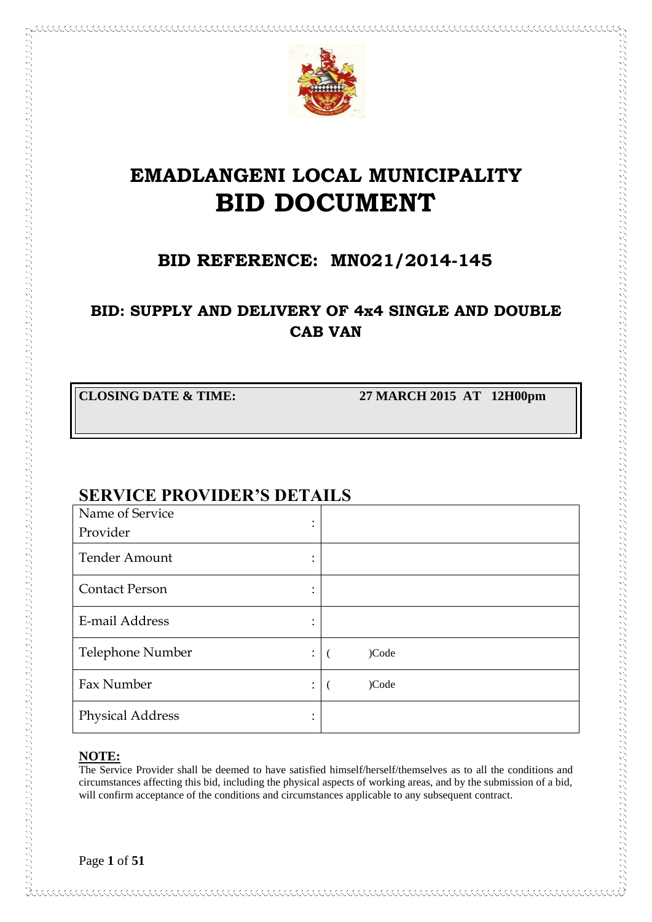

# **EMADLANGENI LOCAL MUNICIPALITY BID DOCUMENT**

## **BID REFERENCE: MN021/2014-145**

## **BID: SUPPLY AND DELIVERY OF 4x4 SINGLE AND DOUBLE CAB VAN**

**CLOSING DATE & TIME: 27 MARCH 2015 AT 12H00pm**

## **SERVICE PROVIDER'S DETAILS**

| Name of Service                                   |       |
|---------------------------------------------------|-------|
| ٠<br>Provider                                     |       |
| <b>Tender Amount</b>                              |       |
| <b>Contact Person</b>                             |       |
| E-mail Address<br>٠<br>$\overline{\phantom{a}}$   |       |
| Telephone Number<br>$\ddot{\phantom{a}}$          | )Code |
| Fax Number<br>$\ddot{\cdot}$                      | )Code |
| <b>Physical Address</b><br>$\bullet$<br>$\bullet$ |       |

## **NOTE:**

The Service Provider shall be deemed to have satisfied himself/herself/themselves as to all the conditions and circumstances affecting this bid, including the physical aspects of working areas, and by the submission of a bid, will confirm acceptance of the conditions and circumstances applicable to any subsequent contract.

Page **1** of **51**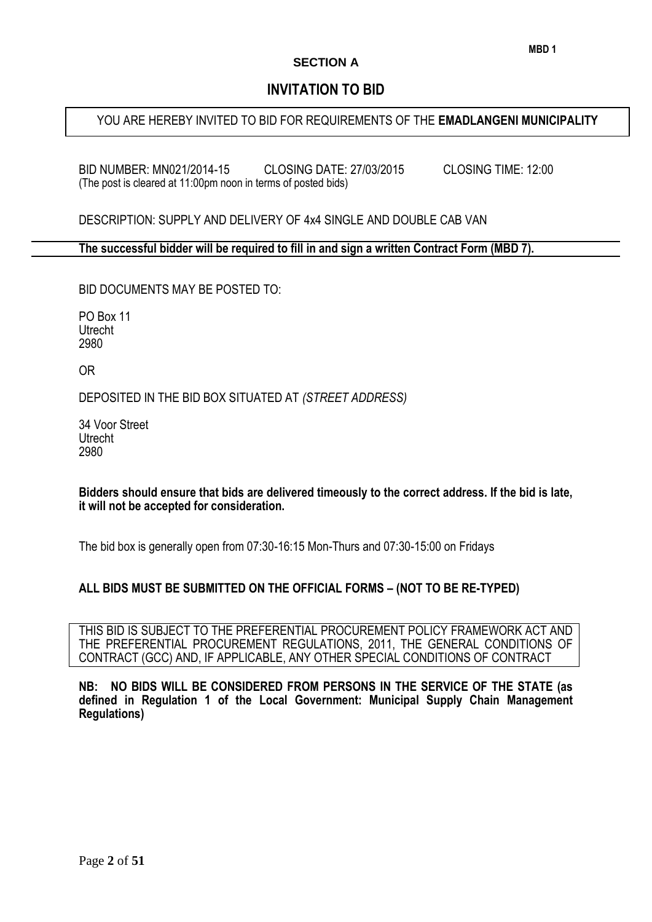#### **SECTION A**

## **INVITATION TO BID**

## YOU ARE HEREBY INVITED TO BID FOR REQUIREMENTS OF THE **EMADLANGENI MUNICIPALITY**

BID NUMBER: MN021/2014-15 CLOSING DATE: 27/03/2015 CLOSING TIME: 12:00 (The post is cleared at 11:00pm noon in terms of posted bids)

DESCRIPTION: SUPPLY AND DELIVERY OF 4x4 SINGLE AND DOUBLE CAB VAN

**The successful bidder will be required to fill in and sign a written Contract Form (MBD 7).**

BID DOCUMENTS MAY BE POSTED TO:

PO Box 11 **Utrecht** 2980

OR

DEPOSITED IN THE BID BOX SITUATED AT *(STREET ADDRESS)*

34 Voor Street Utrecht 2980

#### **Bidders should ensure that bids are delivered timeously to the correct address. If the bid is late, it will not be accepted for consideration.**

The bid box is generally open from 07:30-16:15 Mon-Thurs and 07:30-15:00 on Fridays

#### **ALL BIDS MUST BE SUBMITTED ON THE OFFICIAL FORMS – (NOT TO BE RE-TYPED)**

THIS BID IS SUBJECT TO THE PREFERENTIAL PROCUREMENT POLICY FRAMEWORK ACT AND THE PREFERENTIAL PROCUREMENT REGULATIONS, 2011, THE GENERAL CONDITIONS OF CONTRACT (GCC) AND, IF APPLICABLE, ANY OTHER SPECIAL CONDITIONS OF CONTRACT

**NB: NO BIDS WILL BE CONSIDERED FROM PERSONS IN THE SERVICE OF THE STATE (as defined in Regulation 1 of the Local Government: Municipal Supply Chain Management Regulations)**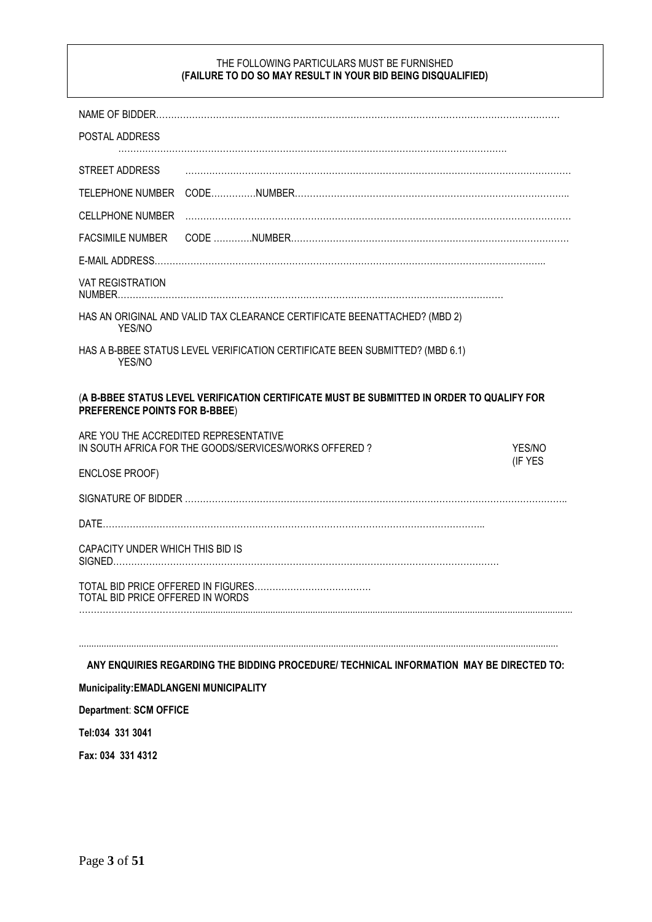#### THE FOLLOWING PARTICULARS MUST BE FURNISHED **(FAILURE TO DO SO MAY RESULT IN YOUR BID BEING DISQUALIFIED)**

| POSTAL ADDRESS                                                                                                             |         |
|----------------------------------------------------------------------------------------------------------------------------|---------|
| STREET ADDRESS                                                                                                             |         |
| <b>TELEPHONE NUMBER</b>                                                                                                    |         |
| <b>CELLPHONE NUMBER</b>                                                                                                    |         |
| <b>FACSIMILE NUMBER</b>                                                                                                    |         |
|                                                                                                                            |         |
| <b>VAT REGISTRATION</b>                                                                                                    |         |
| HAS AN ORIGINAL AND VALID TAX CLEARANCE CERTIFICATE BEENATTACHED? (MBD 2)<br>YES/NO                                        |         |
| HAS A B-BBEE STATUS LEVEL VERIFICATION CERTIFICATE BEEN SUBMITTED? (MBD 6.1)<br>YES/NO                                     |         |
| (A B-BBEE STATUS LEVEL VERIFICATION CERTIFICATE MUST BE SUBMITTED IN ORDER TO QUALIFY FOR<br>PREFERENCE POINTS FOR B-BBEE) |         |
| ARE YOU THE ACCREDITED REPRESENTATIVE                                                                                      |         |
| IN SOUTH AFRICA FOR THE GOODS/SERVICES/WORKS OFFERED?                                                                      | YES/NO  |
| ENCLOSE PROOF)                                                                                                             | (IF YES |
|                                                                                                                            |         |
|                                                                                                                            |         |
| CAPACITY UNDER WHICH THIS BID IS                                                                                           |         |
| TOTAL BID PRICE OFFERED IN WORDS                                                                                           |         |
|                                                                                                                            |         |
| ANY ENQUIRIES REGARDING THE BIDDING PROCEDURE/ TECHNICAL INFORMATION MAY BE DIRECTED TO:                                   |         |
| Municipality: EMADLANGENI MUNICIPALITY                                                                                     |         |
| <b>Department: SCM OFFICE</b>                                                                                              |         |
| Tel:034 331 3041                                                                                                           |         |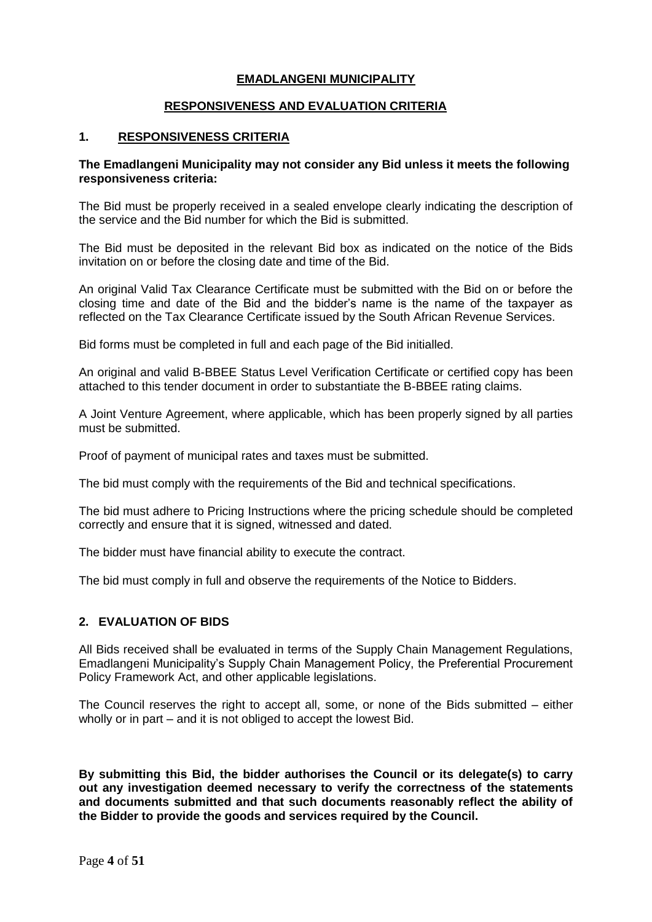#### **EMADLANGENI MUNICIPALITY**

#### **RESPONSIVENESS AND EVALUATION CRITERIA**

#### **1. RESPONSIVENESS CRITERIA**

#### **The Emadlangeni Municipality may not consider any Bid unless it meets the following responsiveness criteria:**

The Bid must be properly received in a sealed envelope clearly indicating the description of the service and the Bid number for which the Bid is submitted.

The Bid must be deposited in the relevant Bid box as indicated on the notice of the Bids invitation on or before the closing date and time of the Bid.

An original Valid Tax Clearance Certificate must be submitted with the Bid on or before the closing time and date of the Bid and the bidder's name is the name of the taxpayer as reflected on the Tax Clearance Certificate issued by the South African Revenue Services.

Bid forms must be completed in full and each page of the Bid initialled.

An original and valid B-BBEE Status Level Verification Certificate or certified copy has been attached to this tender document in order to substantiate the B-BBEE rating claims.

A Joint Venture Agreement, where applicable, which has been properly signed by all parties must be submitted.

Proof of payment of municipal rates and taxes must be submitted.

The bid must comply with the requirements of the Bid and technical specifications.

The bid must adhere to Pricing Instructions where the pricing schedule should be completed correctly and ensure that it is signed, witnessed and dated.

The bidder must have financial ability to execute the contract.

The bid must comply in full and observe the requirements of the Notice to Bidders.

#### **2. EVALUATION OF BIDS**

All Bids received shall be evaluated in terms of the Supply Chain Management Regulations, Emadlangeni Municipality's Supply Chain Management Policy, the Preferential Procurement Policy Framework Act, and other applicable legislations.

The Council reserves the right to accept all, some, or none of the Bids submitted – either wholly or in part – and it is not obliged to accept the lowest Bid.

**By submitting this Bid, the bidder authorises the Council or its delegate(s) to carry out any investigation deemed necessary to verify the correctness of the statements and documents submitted and that such documents reasonably reflect the ability of the Bidder to provide the goods and services required by the Council.**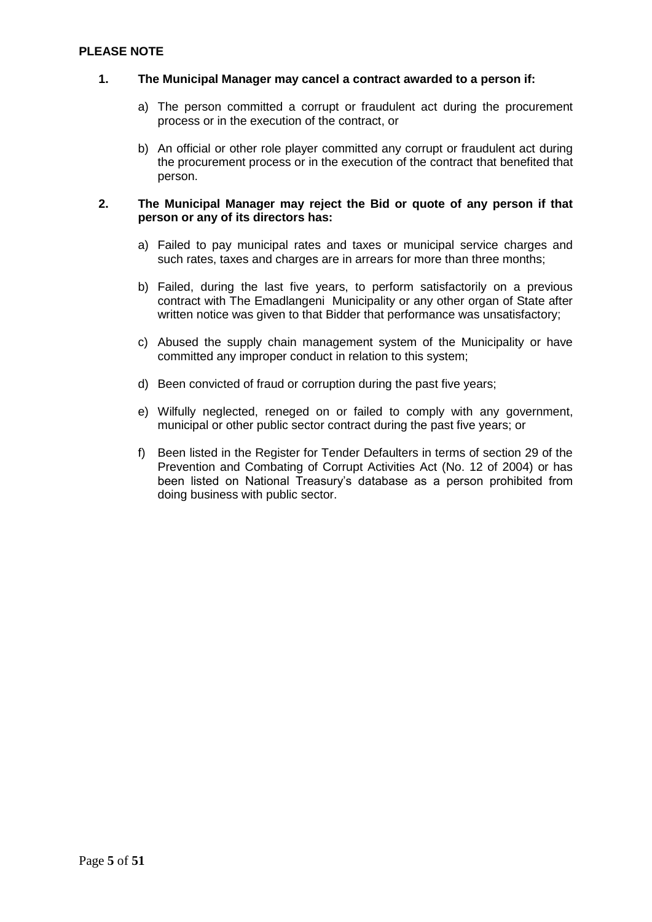#### **PLEASE NOTE**

#### **1. The Municipal Manager may cancel a contract awarded to a person if:**

- a) The person committed a corrupt or fraudulent act during the procurement process or in the execution of the contract, or
- b) An official or other role player committed any corrupt or fraudulent act during the procurement process or in the execution of the contract that benefited that person.

#### **2. The Municipal Manager may reject the Bid or quote of any person if that person or any of its directors has:**

- a) Failed to pay municipal rates and taxes or municipal service charges and such rates, taxes and charges are in arrears for more than three months;
- b) Failed, during the last five years, to perform satisfactorily on a previous contract with The Emadlangeni Municipality or any other organ of State after written notice was given to that Bidder that performance was unsatisfactory;
- c) Abused the supply chain management system of the Municipality or have committed any improper conduct in relation to this system;
- d) Been convicted of fraud or corruption during the past five years;
- e) Wilfully neglected, reneged on or failed to comply with any government, municipal or other public sector contract during the past five years; or
- f) Been listed in the Register for Tender Defaulters in terms of section 29 of the Prevention and Combating of Corrupt Activities Act (No. 12 of 2004) or has been listed on National Treasury's database as a person prohibited from doing business with public sector.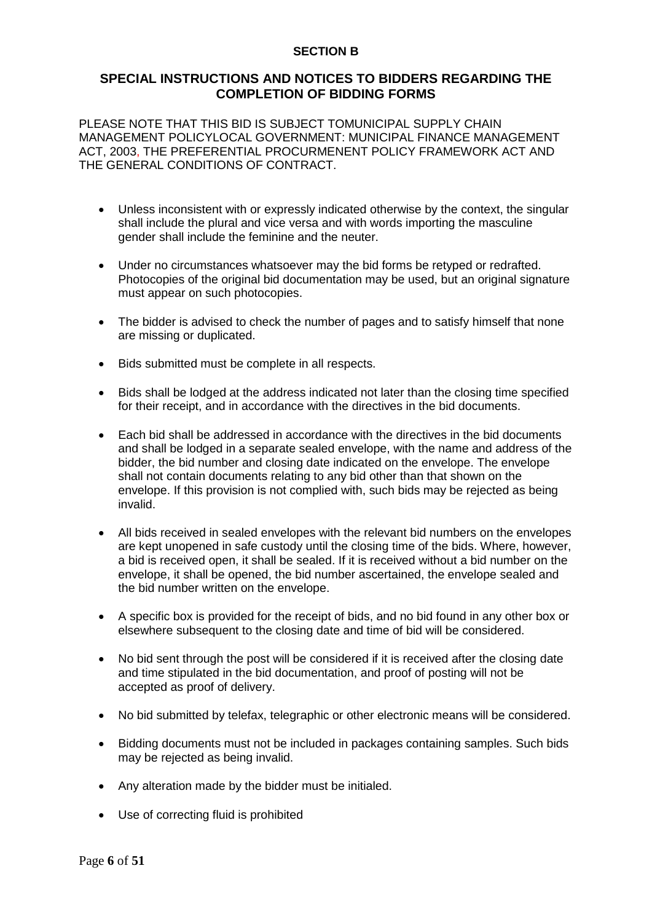#### **SECTION B**

#### **SPECIAL INSTRUCTIONS AND NOTICES TO BIDDERS REGARDING THE COMPLETION OF BIDDING FORMS**

PLEASE NOTE THAT THIS BID IS SUBJECT TOMUNICIPAL SUPPLY CHAIN MANAGEMENT POLICYLOCAL GOVERNMENT: MUNICIPAL FINANCE MANAGEMENT ACT, 2003, THE PREFERENTIAL PROCURMENENT POLICY FRAMEWORK ACT AND THE GENERAL CONDITIONS OF CONTRACT.

- Unless inconsistent with or expressly indicated otherwise by the context, the singular shall include the plural and vice versa and with words importing the masculine gender shall include the feminine and the neuter.
- Under no circumstances whatsoever may the bid forms be retyped or redrafted. Photocopies of the original bid documentation may be used, but an original signature must appear on such photocopies.
- The bidder is advised to check the number of pages and to satisfy himself that none are missing or duplicated.
- Bids submitted must be complete in all respects.
- Bids shall be lodged at the address indicated not later than the closing time specified for their receipt, and in accordance with the directives in the bid documents.
- Each bid shall be addressed in accordance with the directives in the bid documents and shall be lodged in a separate sealed envelope, with the name and address of the bidder, the bid number and closing date indicated on the envelope. The envelope shall not contain documents relating to any bid other than that shown on the envelope. If this provision is not complied with, such bids may be rejected as being invalid.
- All bids received in sealed envelopes with the relevant bid numbers on the envelopes are kept unopened in safe custody until the closing time of the bids. Where, however, a bid is received open, it shall be sealed. If it is received without a bid number on the envelope, it shall be opened, the bid number ascertained, the envelope sealed and the bid number written on the envelope.
- A specific box is provided for the receipt of bids, and no bid found in any other box or elsewhere subsequent to the closing date and time of bid will be considered.
- No bid sent through the post will be considered if it is received after the closing date and time stipulated in the bid documentation, and proof of posting will not be accepted as proof of delivery.
- No bid submitted by telefax, telegraphic or other electronic means will be considered.
- Bidding documents must not be included in packages containing samples. Such bids may be rejected as being invalid.
- Any alteration made by the bidder must be initialed.
- Use of correcting fluid is prohibited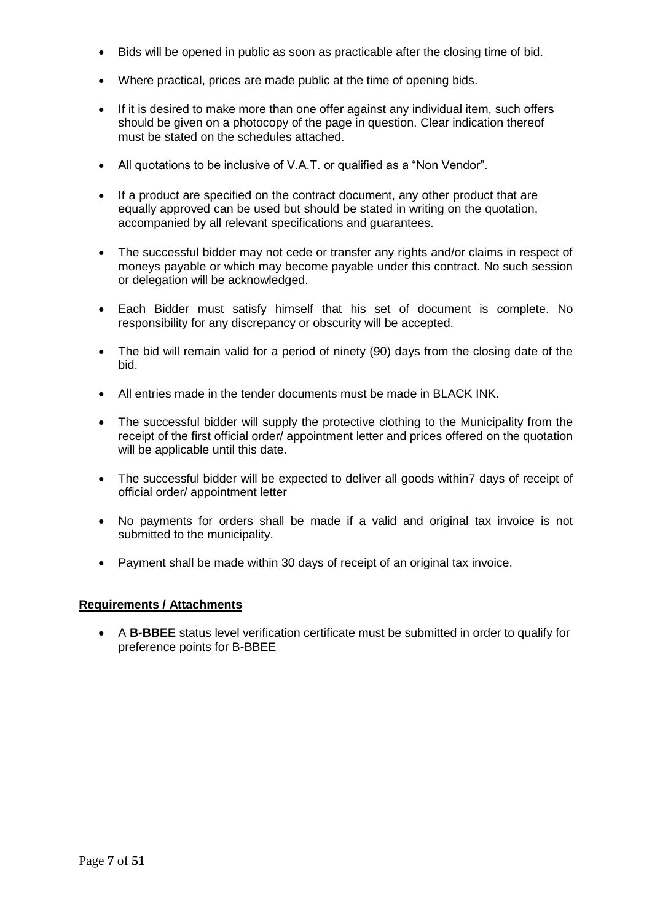- Bids will be opened in public as soon as practicable after the closing time of bid.
- Where practical, prices are made public at the time of opening bids.
- If it is desired to make more than one offer against any individual item, such offers should be given on a photocopy of the page in question. Clear indication thereof must be stated on the schedules attached.
- All quotations to be inclusive of V.A.T. or qualified as a "Non Vendor".
- If a product are specified on the contract document, any other product that are equally approved can be used but should be stated in writing on the quotation, accompanied by all relevant specifications and guarantees.
- The successful bidder may not cede or transfer any rights and/or claims in respect of moneys payable or which may become payable under this contract. No such session or delegation will be acknowledged.
- Each Bidder must satisfy himself that his set of document is complete. No responsibility for any discrepancy or obscurity will be accepted.
- The bid will remain valid for a period of ninety (90) days from the closing date of the bid.
- All entries made in the tender documents must be made in BLACK INK.
- The successful bidder will supply the protective clothing to the Municipality from the receipt of the first official order/ appointment letter and prices offered on the quotation will be applicable until this date.
- The successful bidder will be expected to deliver all goods within7 days of receipt of official order/ appointment letter
- No payments for orders shall be made if a valid and original tax invoice is not submitted to the municipality.
- Payment shall be made within 30 days of receipt of an original tax invoice.

#### **Requirements / Attachments**

 A **B-BBEE** status level verification certificate must be submitted in order to qualify for preference points for B-BBEE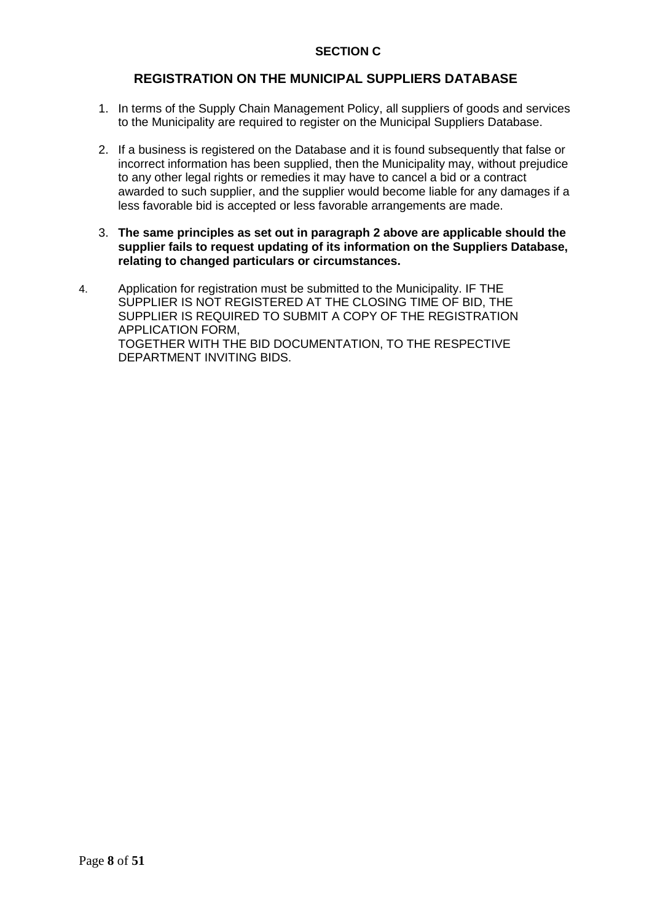#### **SECTION C**

#### **REGISTRATION ON THE MUNICIPAL SUPPLIERS DATABASE**

- 1. In terms of the Supply Chain Management Policy, all suppliers of goods and services to the Municipality are required to register on the Municipal Suppliers Database.
- 2. If a business is registered on the Database and it is found subsequently that false or incorrect information has been supplied, then the Municipality may, without prejudice to any other legal rights or remedies it may have to cancel a bid or a contract awarded to such supplier, and the supplier would become liable for any damages if a less favorable bid is accepted or less favorable arrangements are made.
- 3. **The same principles as set out in paragraph 2 above are applicable should the supplier fails to request updating of its information on the Suppliers Database, relating to changed particulars or circumstances.**
- 4. Application for registration must be submitted to the Municipality. IF THE SUPPLIER IS NOT REGISTERED AT THE CLOSING TIME OF BID, THE SUPPLIER IS REQUIRED TO SUBMIT A COPY OF THE REGISTRATION APPLICATION FORM, TOGETHER WITH THE BID DOCUMENTATION, TO THE RESPECTIVE DEPARTMENT INVITING BIDS.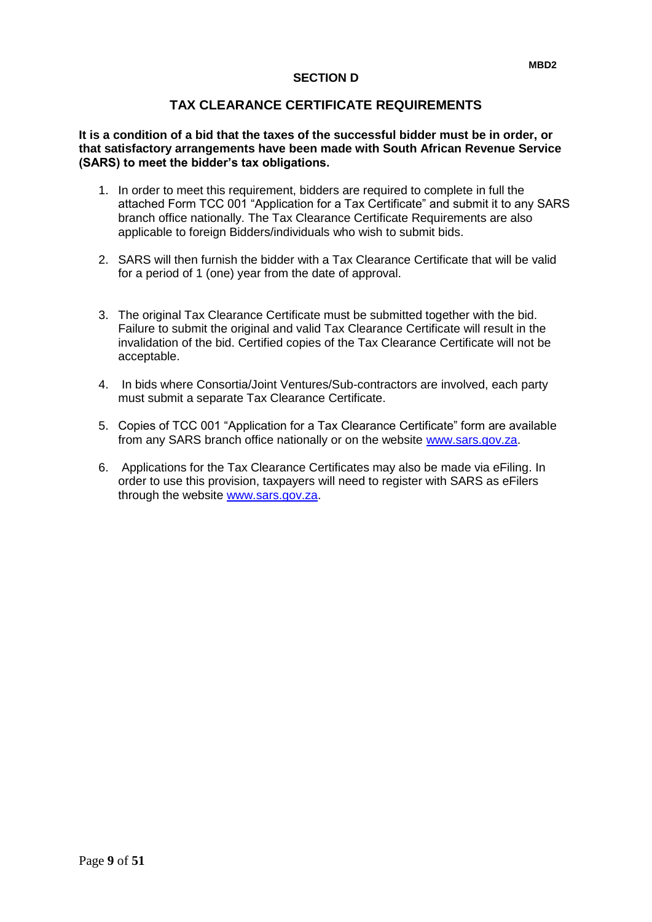#### **SECTION D**

### **TAX CLEARANCE CERTIFICATE REQUIREMENTS**

#### **It is a condition of a bid that the taxes of the successful bidder must be in order, or that satisfactory arrangements have been made with South African Revenue Service (SARS) to meet the bidder's tax obligations.**

- 1. In order to meet this requirement, bidders are required to complete in full the attached Form TCC 001 "Application for a Tax Certificate" and submit it to any SARS branch office nationally. The Tax Clearance Certificate Requirements are also applicable to foreign Bidders/individuals who wish to submit bids.
- 2. SARS will then furnish the bidder with a Tax Clearance Certificate that will be valid for a period of 1 (one) year from the date of approval.
- 3. The original Tax Clearance Certificate must be submitted together with the bid. Failure to submit the original and valid Tax Clearance Certificate will result in the invalidation of the bid. Certified copies of the Tax Clearance Certificate will not be acceptable.
- 4. In bids where Consortia/Joint Ventures/Sub-contractors are involved, each party must submit a separate Tax Clearance Certificate.
- 5. Copies of TCC 001 "Application for a Tax Clearance Certificate" form are available from any SARS branch office nationally or on the website [www.sars.gov.za.](http://www.sars.gov.za/)
- 6. Applications for the Tax Clearance Certificates may also be made via eFiling. In order to use this provision, taxpayers will need to register with SARS as eFilers through the website [www.sars.gov.za.](http://www.sars.gov.za/)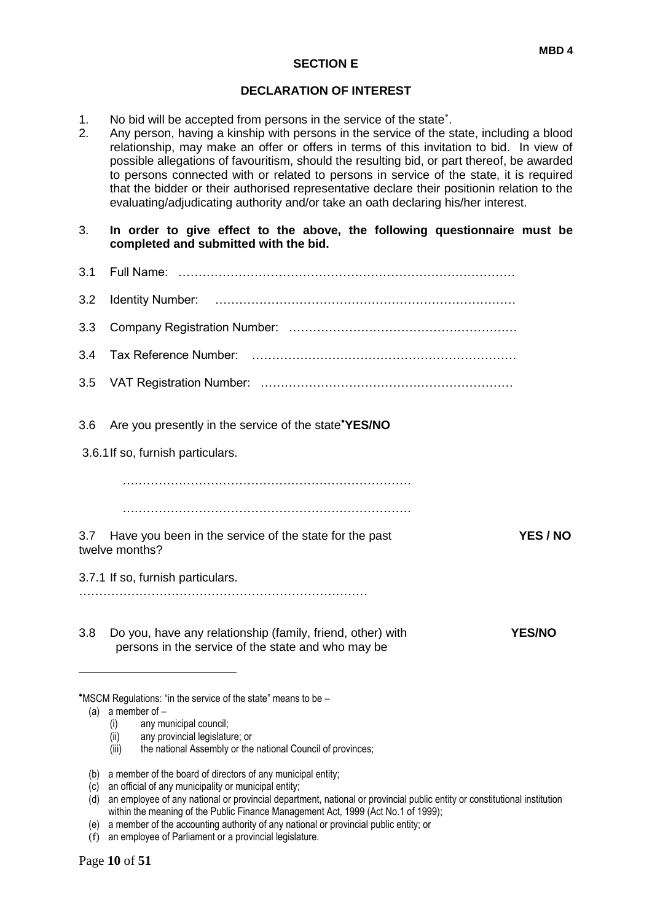#### **SECTION E**

#### **DECLARATION OF INTEREST**

- 1. No bid will be accepted from persons in the service of the state .
- 2. Any person, having a kinship with persons in the service of the state, including a blood relationship, may make an offer or offers in terms of this invitation to bid. In view of possible allegations of favouritism, should the resulting bid, or part thereof, be awarded to persons connected with or related to persons in service of the state, it is required that the bidder or their authorised representative declare their positionin relation to the evaluating/adjudicating authority and/or take an oath declaring his/her interest.
- 3. **In order to give effect to the above, the following questionnaire must be completed and submitted with the bid.**
- 3.1 Full Name: ………………………………………………………………………… 3.2 Identity Number: ………………………………………………………………… 3.3 Company Registration Number: ………………………………………………… 3.4 Tax Reference Number: ………………………………………………………… 3.5 VAT Registration Number: ……………………………………………………… 3.6 Are you presently in the service of the state**YES/NO** 3.6.1If so, furnish particulars. ……………………………………………………………… ……………………………………………………………… 3.7 Have you been in the service of the state for the past **YES / NO** twelve months? 3.7.1 If so, furnish particulars. ……………………………………………………………… 3.8 Do you, have any relationship (family, friend, other) with **YES/NO** persons in the service of the state and who may be 1 MSCM Regulations: "in the service of the state" means to be – (a) a member of –
	- (i) any municipal council;
	- (ii) any provincial legislature; or
	- (iii) the national Assembly or the national Council of provinces;
	- (b) a member of the board of directors of any municipal entity;

- $\overrightarrow{d}$  an employee of any national or provincial department, national or provincial public entity or constitutional institution within the meaning of the Public Finance Management Act, 1999 (Act No.1 of 1999);
- (e) a member of the accounting authority of any national or provincial public entity; or
- (f) an employee of Parliament or a provincial legislature.

<sup>(</sup>c) an official of any municipality or municipal entity;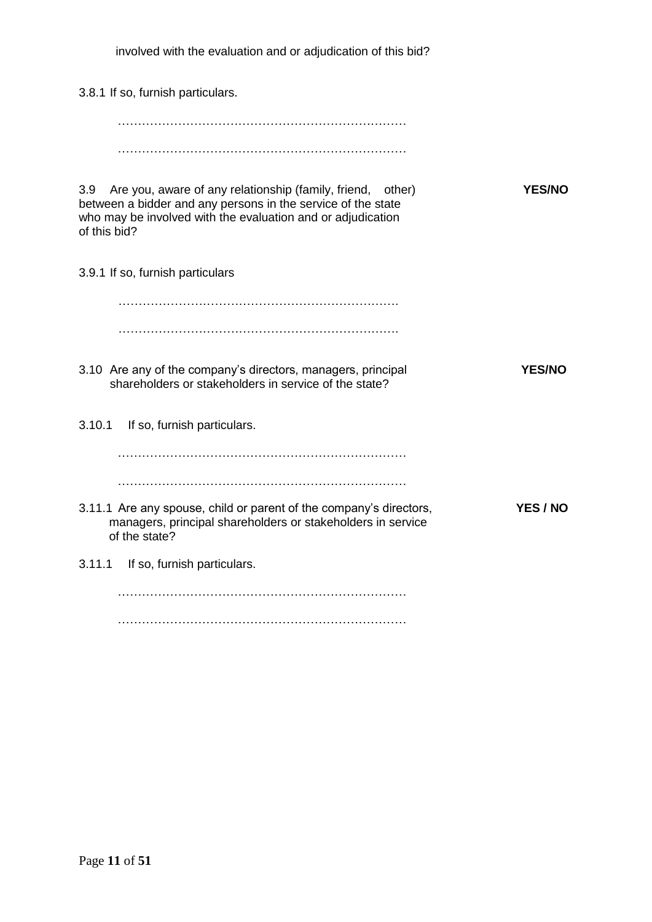involved with the evaluation and or adjudication of this bid?

3.8.1 If so, furnish particulars.

……………………………………………………………… ………………………………………………………………

3.9 Are you, aware of any relationship (family, friend, other) **YES/NO** between a bidder and any persons in the service of the state who may be involved with the evaluation and or adjudication of this bid?

3.9.1 If so, furnish particulars

……………………………………………………………. …………………………………………………………….

- 3.10 Are any of the company's directors, managers, principal **YES/NO** shareholders or stakeholders in service of the state?
- 3.10.1 If so, furnish particulars.

………………………………………………………………

………………………………………………………………

- 3.11.1 Are any spouse, child or parent of the company's directors, **YES / NO** managers, principal shareholders or stakeholders in service of the state?
- 3.11.1 If so, furnish particulars.

……………………………………………………………… ………………………………………………………………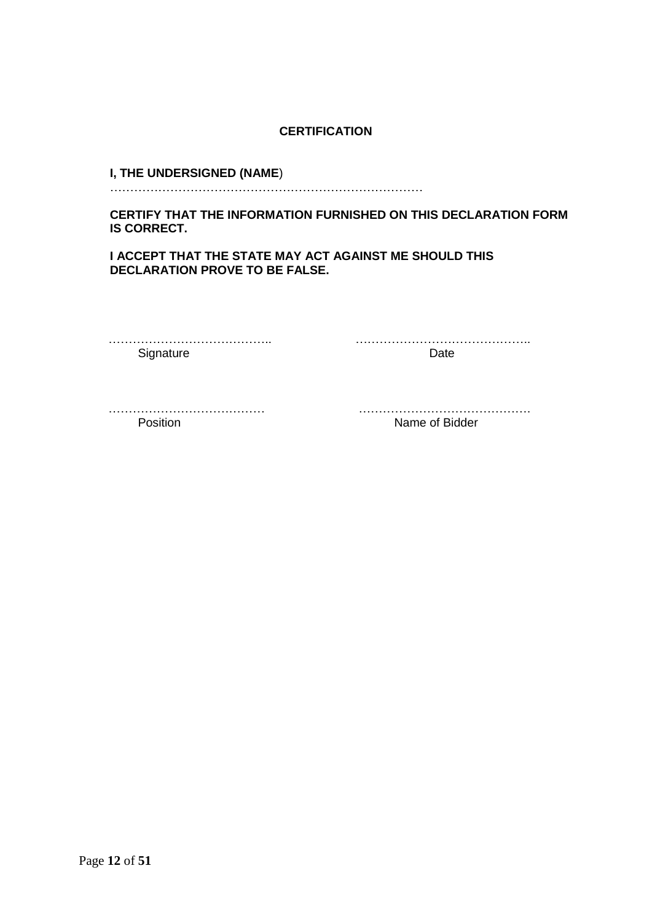### **CERTIFICATION**

#### **I, THE UNDERSIGNED (NAME**)

……………………………………………………………………

**CERTIFY THAT THE INFORMATION FURNISHED ON THIS DECLARATION FORM IS CORRECT.** 

**I ACCEPT THAT THE STATE MAY ACT AGAINST ME SHOULD THIS DECLARATION PROVE TO BE FALSE.** 

………………………………….. …………………………………….. Signature Date Date

………………………………… …………………………………….

Position **Name of Bidder**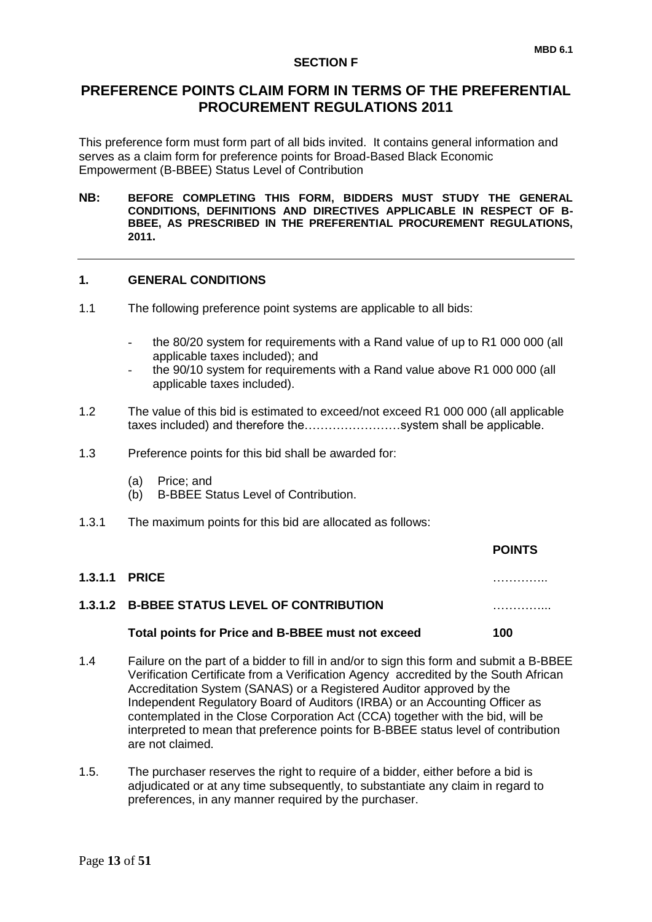#### **SECTION F**

This preference form must form part of all bids invited. It contains general information and serves as a claim form for preference points for Broad-Based Black Economic Empowerment (B-BBEE) Status Level of Contribution

**NB: BEFORE COMPLETING THIS FORM, BIDDERS MUST STUDY THE GENERAL CONDITIONS, DEFINITIONS AND DIRECTIVES APPLICABLE IN RESPECT OF B-BBEE, AS PRESCRIBED IN THE PREFERENTIAL PROCUREMENT REGULATIONS, 2011.** 

#### **1. GENERAL CONDITIONS**

- 1.1 The following preference point systems are applicable to all bids:
	- the 80/20 system for requirements with a Rand value of up to R1 000 000 (all applicable taxes included); and
	- the 90/10 system for requirements with a Rand value above R1 000 000 (all applicable taxes included).
- 1.2 The value of this bid is estimated to exceed/not exceed R1 000 000 (all applicable taxes included) and therefore the……………………system shall be applicable.
- 1.3 Preference points for this bid shall be awarded for:
	- (a) Price; and
	- (b) B-BBEE Status Level of Contribution.
- 1.3.1 The maximum points for this bid are allocated as follows:

|                      |                                                   | <b>POINTS</b> |
|----------------------|---------------------------------------------------|---------------|
| <b>1.3.1.1 PRICE</b> |                                                   | .             |
|                      | 1.3.1.2 B-BBEE STATUS LEVEL OF CONTRIBUTION       |               |
|                      | Total points for Price and B-BBEE must not exceed | 100           |
|                      |                                                   |               |

- 1.4 Failure on the part of a bidder to fill in and/or to sign this form and submit a B-BBEE Verification Certificate from a Verification Agency accredited by the South African Accreditation System (SANAS) or a Registered Auditor approved by the Independent Regulatory Board of Auditors (IRBA) or an Accounting Officer as contemplated in the Close Corporation Act (CCA) together with the bid, will be interpreted to mean that preference points for B-BBEE status level of contribution are not claimed.
- 1.5. The purchaser reserves the right to require of a bidder, either before a bid is adjudicated or at any time subsequently, to substantiate any claim in regard to preferences, in any manner required by the purchaser.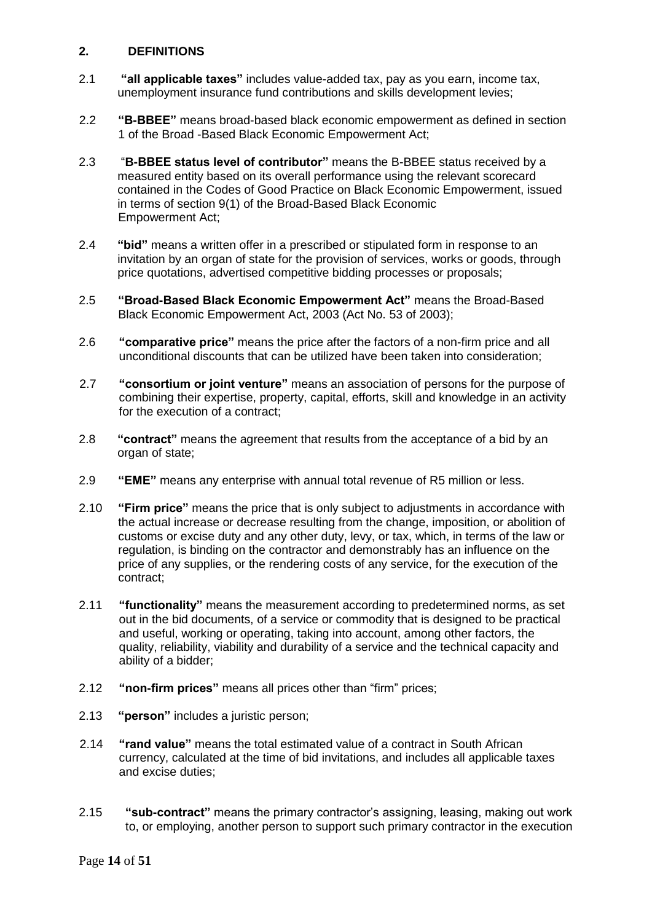#### **2. DEFINITIONS**

- 2.1 **"all applicable taxes"** includes value-added tax, pay as you earn, income tax, unemployment insurance fund contributions and skills development levies;
- 2.2 **"B-BBEE"** means broad-based black economic empowerment as defined in section 1 of the Broad -Based Black Economic Empowerment Act;
- 2.3 "**B-BBEE status level of contributor"** means the B-BBEE status received by a measured entity based on its overall performance using the relevant scorecard contained in the Codes of Good Practice on Black Economic Empowerment, issued in terms of section 9(1) of the Broad-Based Black Economic Empowerment Act;
- 2.4 **"bid"** means a written offer in a prescribed or stipulated form in response to an invitation by an organ of state for the provision of services, works or goods, through price quotations, advertised competitive bidding processes or proposals;
- 2.5 **"Broad-Based Black Economic Empowerment Act"** means the Broad-Based Black Economic Empowerment Act, 2003 (Act No. 53 of 2003);
- 2.6 **"comparative price"** means the price after the factors of a non-firm price and all unconditional discounts that can be utilized have been taken into consideration;
- 2.7 **"consortium or joint venture"** means an association of persons for the purpose of combining their expertise, property, capital, efforts, skill and knowledge in an activity for the execution of a contract;
- 2.8 **"contract"** means the agreement that results from the acceptance of a bid by an organ of state;
- 2.9 **"EME"** means any enterprise with annual total revenue of R5 million or less.
- 2.10 **"Firm price"** means the price that is only subject to adjustments in accordance with the actual increase or decrease resulting from the change, imposition, or abolition of customs or excise duty and any other duty, levy, or tax, which, in terms of the law or regulation, is binding on the contractor and demonstrably has an influence on the price of any supplies, or the rendering costs of any service, for the execution of the contract;
- 2.11 **"functionality"** means the measurement according to predetermined norms, as set out in the bid documents, of a service or commodity that is designed to be practical and useful, working or operating, taking into account, among other factors, the quality, reliability, viability and durability of a service and the technical capacity and ability of a bidder;
- 2.12 **"non-firm prices"** means all prices other than "firm" prices;
- 2.13 **"person"** includes a juristic person;
- 2.14 **"rand value"** means the total estimated value of a contract in South African currency, calculated at the time of bid invitations, and includes all applicable taxes and excise duties;
- 2.15 **"sub-contract"** means the primary contractor's assigning, leasing, making out work to, or employing, another person to support such primary contractor in the execution

Page **14** of **51**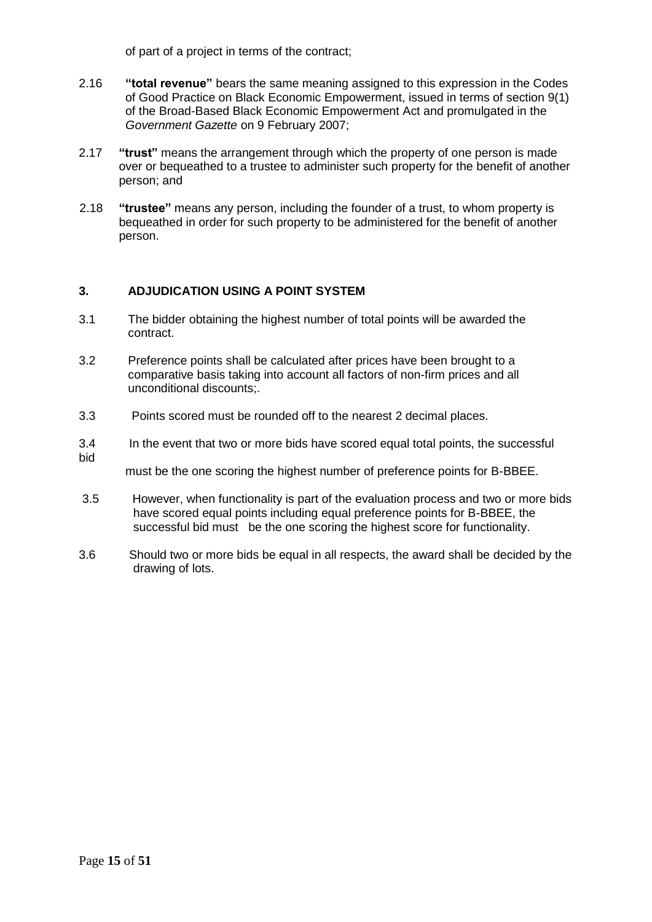of part of a project in terms of the contract;

- 2.16 **"total revenue"** bears the same meaning assigned to this expression in the Codes of Good Practice on Black Economic Empowerment, issued in terms of section 9(1) of the Broad-Based Black Economic Empowerment Act and promulgated in the *Government Gazette* on 9 February 2007;
- 2.17 **"trust"** means the arrangement through which the property of one person is made over or bequeathed to a trustee to administer such property for the benefit of another person; and
- 2.18 **"trustee"** means any person, including the founder of a trust, to whom property is bequeathed in order for such property to be administered for the benefit of another person.

#### **3. ADJUDICATION USING A POINT SYSTEM**

- 3.1 The bidder obtaining the highest number of total points will be awarded the contract.
- 3.2 Preference points shall be calculated after prices have been brought to a comparative basis taking into account all factors of non-firm prices and all unconditional discounts;.
- 3.3 Points scored must be rounded off to the nearest 2 decimal places.
- 3.4 In the event that two or more bids have scored equal total points, the successful bid

must be the one scoring the highest number of preference points for B-BBEE.

- 3.5 However, when functionality is part of the evaluation process and two or more bids have scored equal points including equal preference points for B-BBEE, the successful bid must be the one scoring the highest score for functionality.
- 3.6 Should two or more bids be equal in all respects, the award shall be decided by the drawing of lots.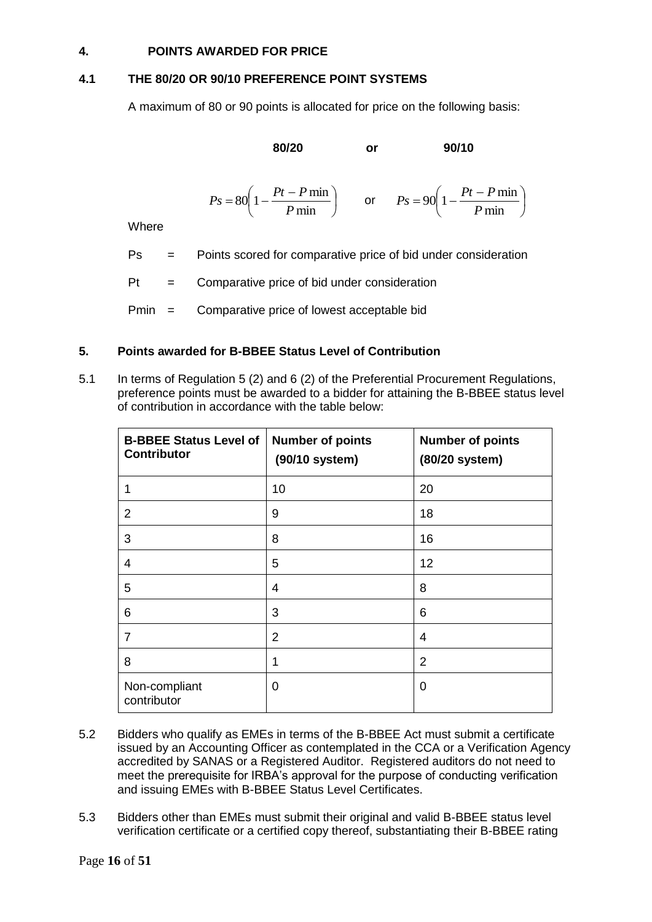#### **4. POINTS AWARDED FOR PRICE**

#### **4.1 THE 80/20 OR 90/10 PREFERENCE POINT SYSTEMS**

A maximum of 80 or 90 points is allocated for price on the following basis:

**80/20 or 90/10**

$$
P_s = 80 \left( 1 - \frac{Pt - P \min}{P \min} \right) \qquad \text{or} \qquad P_s = 90 \left( 1 - \frac{Pt - P \min}{P \min} \right)
$$

**Where** 

- Ps = Points scored for comparative price of bid under consideration
- $Pt =$  Comparative price of bid under consideration
- Pmin = Comparative price of lowest acceptable bid

#### **5. Points awarded for B-BBEE Status Level of Contribution**

5.1 In terms of Regulation 5 (2) and 6 (2) of the Preferential Procurement Regulations, preference points must be awarded to a bidder for attaining the B-BBEE status level of contribution in accordance with the table below:

| <b>B-BBEE Status Level of</b><br><b>Contributor</b> | <b>Number of points</b><br>(90/10 system) | <b>Number of points</b><br>(80/20 system) |
|-----------------------------------------------------|-------------------------------------------|-------------------------------------------|
|                                                     | 10                                        | 20                                        |
| 2                                                   | 9                                         | 18                                        |
| 3                                                   | 8                                         | 16                                        |
| 4                                                   | 5                                         | 12                                        |
| 5                                                   | 4                                         | 8                                         |
| 6                                                   | 3                                         | 6                                         |
| $\overline{7}$                                      | $\overline{2}$                            | 4                                         |
| 8                                                   | 1                                         | $\overline{2}$                            |
| Non-compliant<br>contributor                        | 0                                         | 0                                         |

- 5.2 Bidders who qualify as EMEs in terms of the B-BBEE Act must submit a certificate issued by an Accounting Officer as contemplated in the CCA or a Verification Agency accredited by SANAS or a Registered Auditor. Registered auditors do not need to meet the prerequisite for IRBA's approval for the purpose of conducting verification and issuing EMEs with B-BBEE Status Level Certificates.
- 5.3 Bidders other than EMEs must submit their original and valid B-BBEE status level verification certificate or a certified copy thereof, substantiating their B-BBEE rating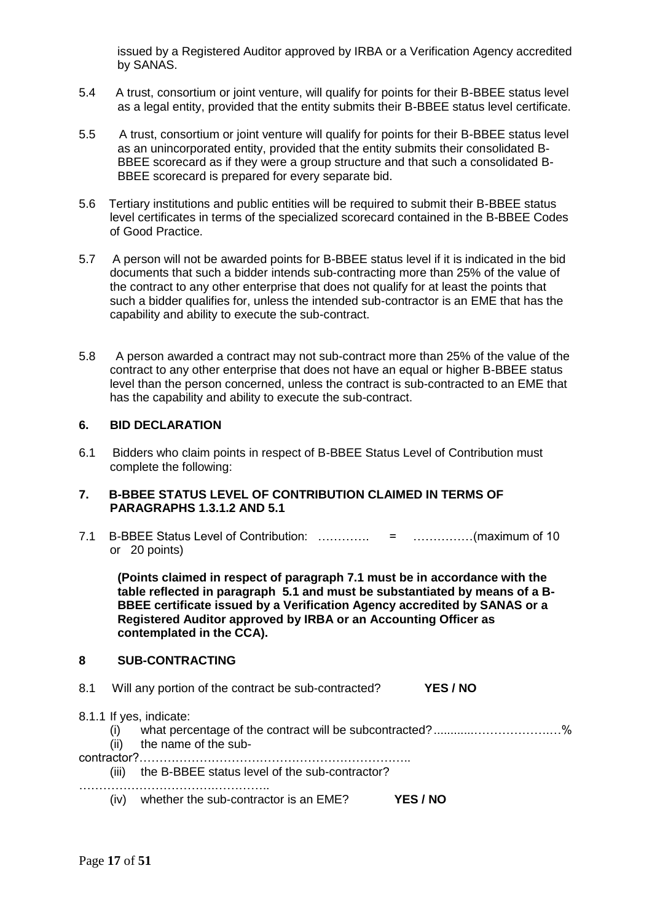issued by a Registered Auditor approved by IRBA or a Verification Agency accredited by SANAS.

- 5.4 A trust, consortium or joint venture, will qualify for points for their B-BBEE status level as a legal entity, provided that the entity submits their B-BBEE status level certificate.
- 5.5 A trust, consortium or joint venture will qualify for points for their B-BBEE status level as an unincorporated entity, provided that the entity submits their consolidated B-BBEE scorecard as if they were a group structure and that such a consolidated B-BBEE scorecard is prepared for every separate bid.
- 5.6 Tertiary institutions and public entities will be required to submit their B-BBEE status level certificates in terms of the specialized scorecard contained in the B-BBEE Codes of Good Practice.
- 5.7 A person will not be awarded points for B-BBEE status level if it is indicated in the bid documents that such a bidder intends sub-contracting more than 25% of the value of the contract to any other enterprise that does not qualify for at least the points that such a bidder qualifies for, unless the intended sub-contractor is an EME that has the capability and ability to execute the sub-contract.
- 5.8 A person awarded a contract may not sub-contract more than 25% of the value of the contract to any other enterprise that does not have an equal or higher B-BBEE status level than the person concerned, unless the contract is sub-contracted to an EME that has the capability and ability to execute the sub-contract.

#### **6. BID DECLARATION**

6.1 Bidders who claim points in respect of B-BBEE Status Level of Contribution must complete the following:

#### **7. B-BBEE STATUS LEVEL OF CONTRIBUTION CLAIMED IN TERMS OF PARAGRAPHS 1.3.1.2 AND 5.1**

7.1 B-BBEE Status Level of Contribution: …………. = ……………(maximum of 10 or 20 points)

**(Points claimed in respect of paragraph 7.1 must be in accordance with the table reflected in paragraph 5.1 and must be substantiated by means of a B-BBEE certificate issued by a Verification Agency accredited by SANAS or a Registered Auditor approved by IRBA or an Accounting Officer as contemplated in the CCA).**

#### **8 SUB-CONTRACTING**

- 8.1 Will any portion of the contract be sub-contracted? **YES / NO**
- 8.1.1 If yes, indicate:
	- (i) what percentage of the contract will be subcontracted?............……………….…%
		- (ii) the name of the sub-

contractor?…………………………………………………………..

(iii) the B-BBEE status level of the sub-contractor?

…………………………….…………..

(iv) whether the sub-contractor is an EME? **YES / NO**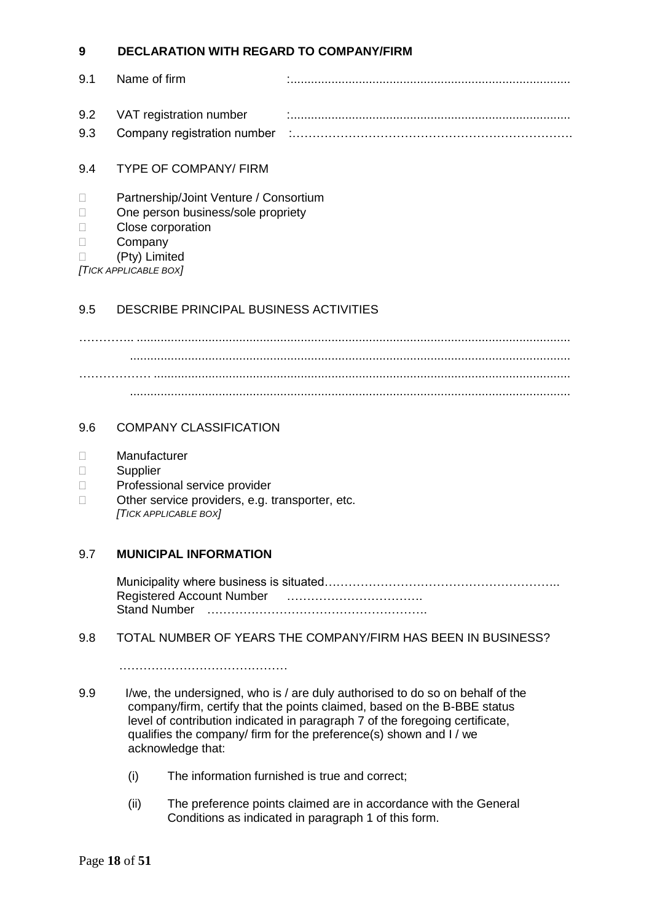### **9 DECLARATION WITH REGARD TO COMPANY/FIRM**

| 9.1 | Name of firm                |  |
|-----|-----------------------------|--|
|     | 9.2 VAT registration number |  |
|     |                             |  |

#### 9.4 TYPE OF COMPANY/ FIRM

#### D Partnership/Joint Venture / Consortium

- □ One person business/sole propriety
- D Close corporation
- Company

(Pty) Limited

*[TICK APPLICABLE BOX]*

#### 9.5 DESCRIBE PRINCIPAL BUSINESS ACTIVITIES

………….. ............................................................................................................................... ................................................................................................................................. ……………… .......................................................................................................................... .................................................................................................................................

#### 9.6 COMPANY CLASSIFICATION

- Manufacturer
- Supplier
- D Professional service provider
- $\Box$  Other service providers, e.g. transporter, etc. *[TICK APPLICABLE BOX]*

#### 9.7 **MUNICIPAL INFORMATION**

Municipality where business is situated………………………………………………….. Registered Account Number ……………………………. Stand Number ……………………………………………….

#### 9.8 TOTAL NUMBER OF YEARS THE COMPANY/FIRM HAS BEEN IN BUSINESS?

……………………………………

- 9.9 I/we, the undersigned, who is / are duly authorised to do so on behalf of the company/firm, certify that the points claimed, based on the B-BBE status level of contribution indicated in paragraph 7 of the foregoing certificate, qualifies the company/ firm for the preference(s) shown and I / we acknowledge that:
	- (i) The information furnished is true and correct;
	- (ii) The preference points claimed are in accordance with the General Conditions as indicated in paragraph 1 of this form.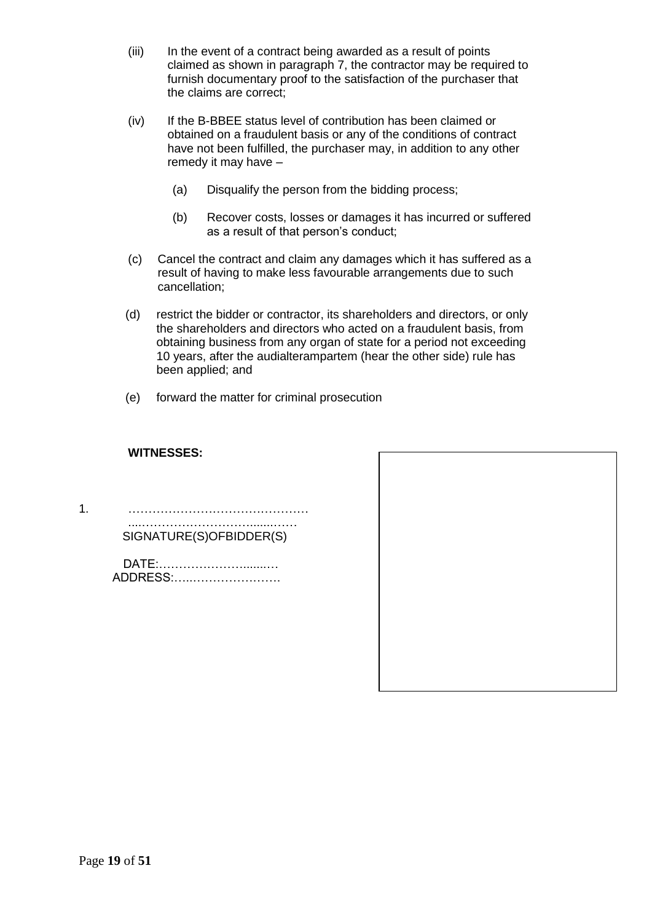- (iii) In the event of a contract being awarded as a result of points claimed as shown in paragraph 7, the contractor may be required to furnish documentary proof to the satisfaction of the purchaser that the claims are correct;
- (iv) If the B-BBEE status level of contribution has been claimed or obtained on a fraudulent basis or any of the conditions of contract have not been fulfilled, the purchaser may, in addition to any other remedy it may have –
	- (a) Disqualify the person from the bidding process;
	- (b) Recover costs, losses or damages it has incurred or suffered as a result of that person's conduct;
- (c) Cancel the contract and claim any damages which it has suffered as a result of having to make less favourable arrangements due to such cancellation;
- (d) restrict the bidder or contractor, its shareholders and directors, or only the shareholders and directors who acted on a fraudulent basis, from obtaining business from any organ of state for a period not exceeding 10 years, after the audialterampartem (hear the other side) rule has been applied; and
- (e) forward the matter for criminal prosecution

#### **WITNESSES:**

1. ……………………………………… ....……………………….......……

SIGNATURE(S)OFBIDDER(S)

DATE:………………….......… ADDRESS:…..………………….

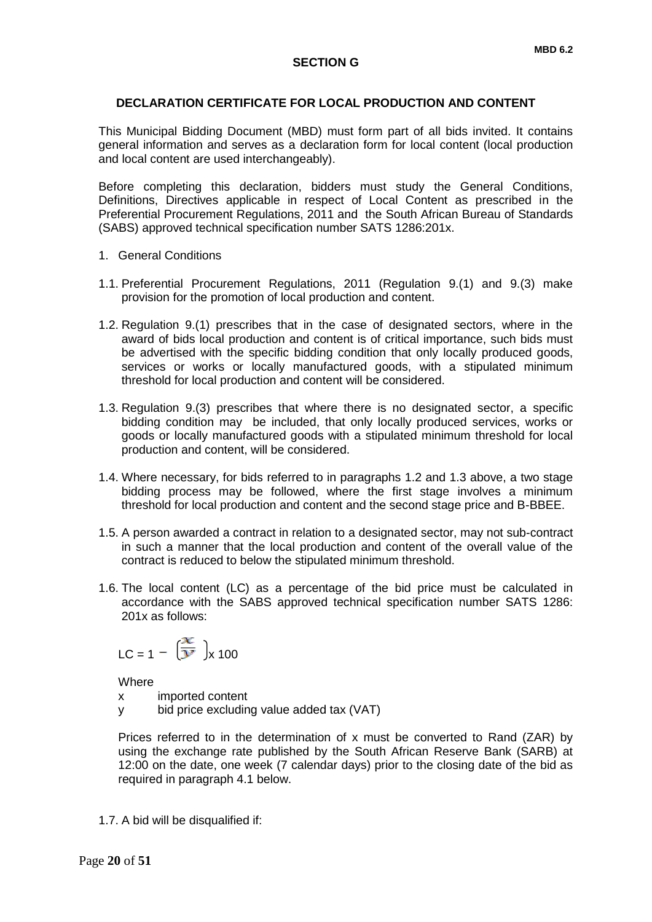#### **DECLARATION CERTIFICATE FOR LOCAL PRODUCTION AND CONTENT**

This Municipal Bidding Document (MBD) must form part of all bids invited. It contains general information and serves as a declaration form for local content (local production and local content are used interchangeably).

Before completing this declaration, bidders must study the General Conditions, Definitions, Directives applicable in respect of Local Content as prescribed in the Preferential Procurement Regulations, 2011 and the South African Bureau of Standards (SABS) approved technical specification number SATS 1286:201x.

- 1. General Conditions
- 1.1. Preferential Procurement Regulations, 2011 (Regulation 9.(1) and 9.(3) make provision for the promotion of local production and content.
- 1.2. Regulation 9.(1) prescribes that in the case of designated sectors, where in the award of bids local production and content is of critical importance, such bids must be advertised with the specific bidding condition that only locally produced goods, services or works or locally manufactured goods, with a stipulated minimum threshold for local production and content will be considered.
- 1.3. Regulation 9.(3) prescribes that where there is no designated sector, a specific bidding condition may be included, that only locally produced services, works or goods or locally manufactured goods with a stipulated minimum threshold for local production and content, will be considered.
- 1.4. Where necessary, for bids referred to in paragraphs 1.2 and 1.3 above, a two stage bidding process may be followed, where the first stage involves a minimum threshold for local production and content and the second stage price and B-BBEE.
- 1.5. A person awarded a contract in relation to a designated sector, may not sub-contract in such a manner that the local production and content of the overall value of the contract is reduced to below the stipulated minimum threshold.
- 1.6. The local content (LC) as a percentage of the bid price must be calculated in accordance with the SABS approved technical specification number SATS 1286: 201x as follows:

$$
LC = 1 - \left(\frac{x}{y}\right)_x 100
$$

**Where** 

x imported content

y bid price excluding value added tax (VAT)

Prices referred to in the determination of x must be converted to Rand (ZAR) by using the exchange rate published by the South African Reserve Bank (SARB) at 12:00 on the date, one week (7 calendar days) prior to the closing date of the bid as required in paragraph 4.1 below.

1.7. A bid will be disqualified if: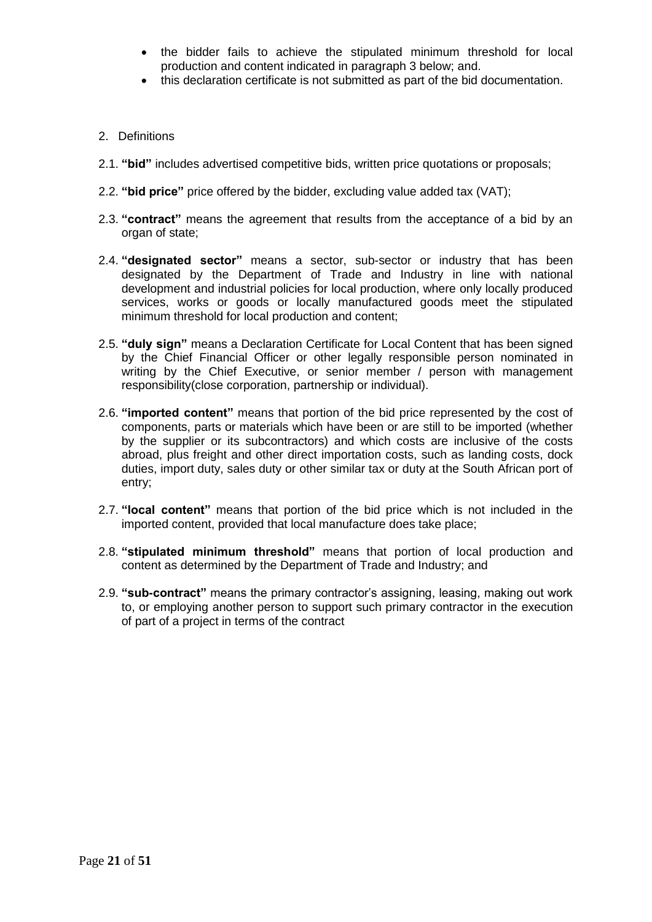- the bidder fails to achieve the stipulated minimum threshold for local production and content indicated in paragraph 3 below; and.
- this declaration certificate is not submitted as part of the bid documentation.
- 2. Definitions
- 2.1. **"bid"** includes advertised competitive bids, written price quotations or proposals;
- 2.2. **"bid price"** price offered by the bidder, excluding value added tax (VAT);
- 2.3. **"contract"** means the agreement that results from the acceptance of a bid by an organ of state;
- 2.4. **"designated sector"** means a sector, sub-sector or industry that has been designated by the Department of Trade and Industry in line with national development and industrial policies for local production, where only locally produced services, works or goods or locally manufactured goods meet the stipulated minimum threshold for local production and content;
- 2.5. **"duly sign"** means a Declaration Certificate for Local Content that has been signed by the Chief Financial Officer or other legally responsible person nominated in writing by the Chief Executive, or senior member / person with management responsibility(close corporation, partnership or individual).
- 2.6. **"imported content"** means that portion of the bid price represented by the cost of components, parts or materials which have been or are still to be imported (whether by the supplier or its subcontractors) and which costs are inclusive of the costs abroad, plus freight and other direct importation costs, such as landing costs, dock duties, import duty, sales duty or other similar tax or duty at the South African port of entry;
- 2.7. **"local content"** means that portion of the bid price which is not included in the imported content, provided that local manufacture does take place;
- 2.8. **"stipulated minimum threshold"** means that portion of local production and content as determined by the Department of Trade and Industry; and
- 2.9. **"sub-contract"** means the primary contractor's assigning, leasing, making out work to, or employing another person to support such primary contractor in the execution of part of a project in terms of the contract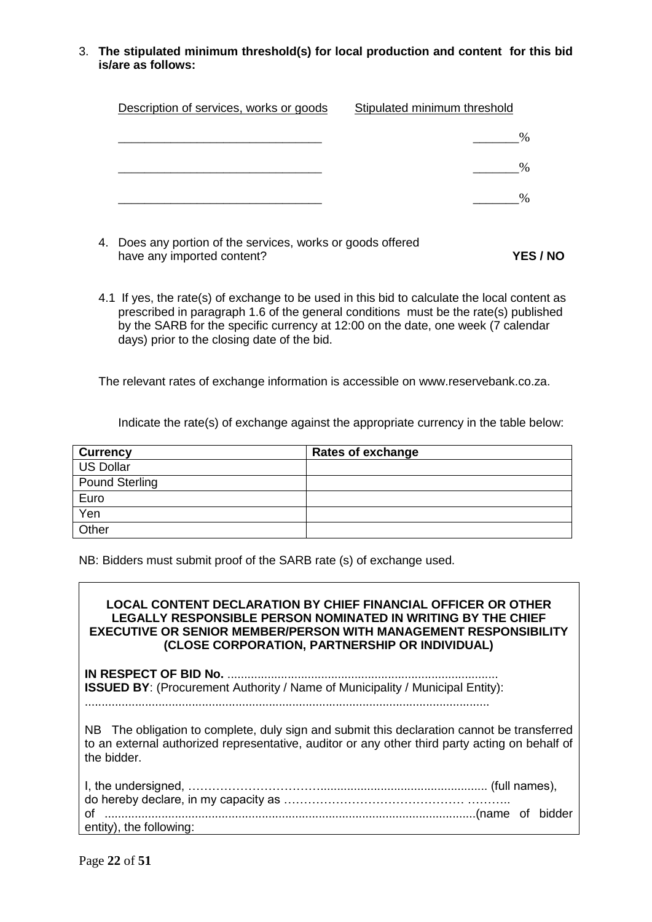3. **The stipulated minimum threshold(s) for local production and content for this bid is/are as follows:**

| Description of services, works or goods | Stipulated minimum threshold |
|-----------------------------------------|------------------------------|
|                                         |                              |
|                                         |                              |
|                                         |                              |

- 4. Does any portion of the services, works or goods offered have any imported content? **YES / NO**
- 4.1 If yes, the rate(s) of exchange to be used in this bid to calculate the local content as prescribed in paragraph 1.6 of the general conditions must be the rate(s) published by the SARB for the specific currency at 12:00 on the date, one week (7 calendar days) prior to the closing date of the bid.

The relevant rates of exchange information is accessible on www.reservebank.co.za.

Indicate the rate(s) of exchange against the appropriate currency in the table below:

| <b>Currency</b>       | <b>Rates of exchange</b> |
|-----------------------|--------------------------|
| <b>US Dollar</b>      |                          |
| <b>Pound Sterling</b> |                          |
| Euro                  |                          |
| Yen                   |                          |
| Other                 |                          |

NB: Bidders must submit proof of the SARB rate (s) of exchange used.

**LOCAL CONTENT DECLARATION BY CHIEF FINANCIAL OFFICER OR OTHER LEGALLY RESPONSIBLE PERSON NOMINATED IN WRITING BY THE CHIEF EXECUTIVE OR SENIOR MEMBER/PERSON WITH MANAGEMENT RESPONSIBILITY (CLOSE CORPORATION, PARTNERSHIP OR INDIVIDUAL)**

**IN RESPECT OF BID No.** ................................................................................. **ISSUED BY:** (Procurement Authority / Name of Municipality / Municipal Entity): .........................................................................................................................

NB The obligation to complete, duly sign and submit this declaration cannot be transferred to an external authorized representative, auditor or any other third party acting on behalf of the bidder.

| entity), the following: |  |
|-------------------------|--|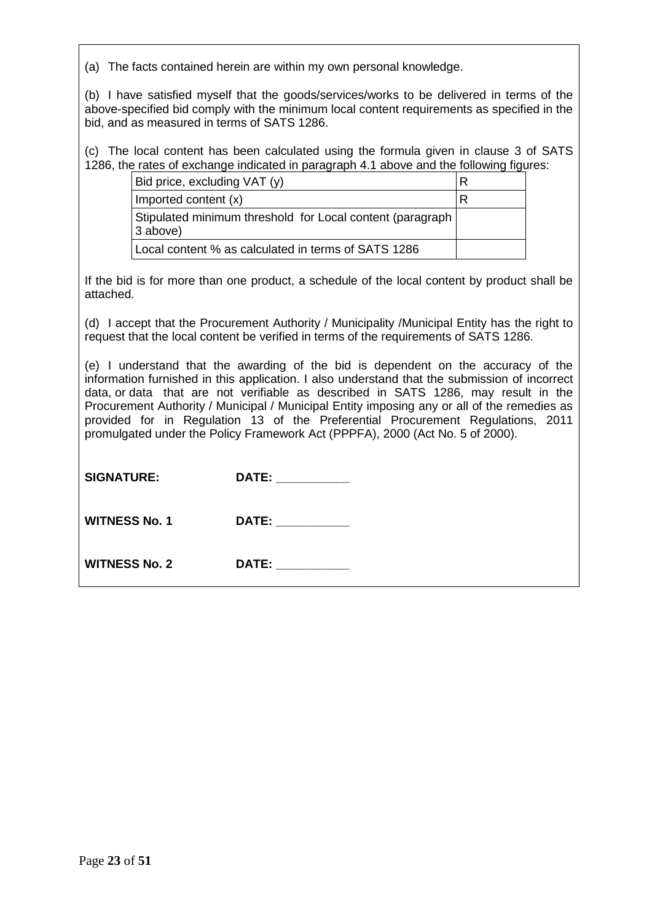(a) The facts contained herein are within my own personal knowledge.

(b) I have satisfied myself that the goods/services/works to be delivered in terms of the above-specified bid comply with the minimum local content requirements as specified in the bid, and as measured in terms of SATS 1286.

(c) The local content has been calculated using the formula given in clause 3 of SATS 1286, the rates of exchange indicated in paragraph 4.1 above and the following figures:

| Bid price, excluding VAT (y)                                           | R |
|------------------------------------------------------------------------|---|
| Imported content (x)                                                   |   |
| Stipulated minimum threshold for Local content (paragraph)<br>3 above) |   |
| Local content % as calculated in terms of SATS 1286                    |   |

If the bid is for more than one product, a schedule of the local content by product shall be attached.

(d) I accept that the Procurement Authority / Municipality /Municipal Entity has the right to request that the local content be verified in terms of the requirements of SATS 1286.

(e) I understand that the awarding of the bid is dependent on the accuracy of the information furnished in this application. I also understand that the submission of incorrect data, or data that are not verifiable as described in SATS 1286, may result in the Procurement Authority / Municipal / Municipal Entity imposing any or all of the remedies as provided for in Regulation 13 of the Preferential Procurement Regulations, 2011 promulgated under the Policy Framework Act (PPPFA), 2000 (Act No. 5 of 2000).

|  | <b>SIGNATURE:</b> | DATE: |
|--|-------------------|-------|
|--|-------------------|-------|

WITNESS No. 1 DATE:

WITNESS No. 2 DATE: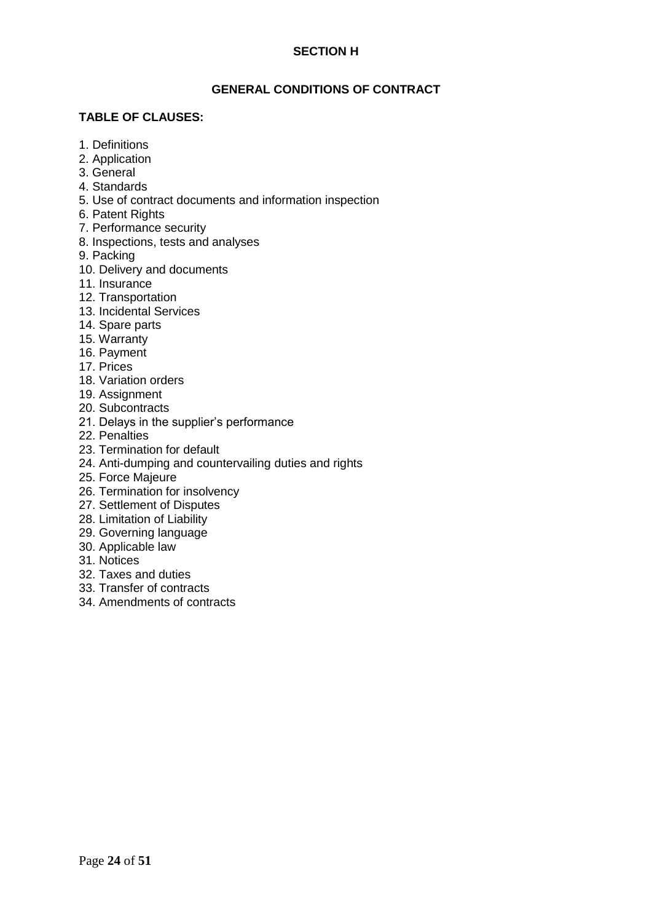#### **SECTION H**

#### **GENERAL CONDITIONS OF CONTRACT**

#### **TABLE OF CLAUSES:**

- 1. Definitions
- 2. Application
- 3. General
- 4. Standards
- 5. Use of contract documents and information inspection
- 6. Patent Rights
- 7. Performance security
- 8. Inspections, tests and analyses
- 9. Packing
- 10. Delivery and documents
- 11. Insurance
- 12. Transportation
- 13. Incidental Services
- 14. Spare parts
- 15. Warranty
- 16. Payment
- 17. Prices
- 18. Variation orders
- 19. Assignment
- 20. Subcontracts
- 21. Delays in the supplier's performance
- 22. Penalties
- 23. Termination for default
- 24. Anti-dumping and countervailing duties and rights
- 25. Force Majeure
- 26. Termination for insolvency
- 27. Settlement of Disputes
- 28. Limitation of Liability
- 29. Governing language
- 30. Applicable law
- 31. Notices
- 32. Taxes and duties
- 33. Transfer of contracts
- 34. Amendments of contracts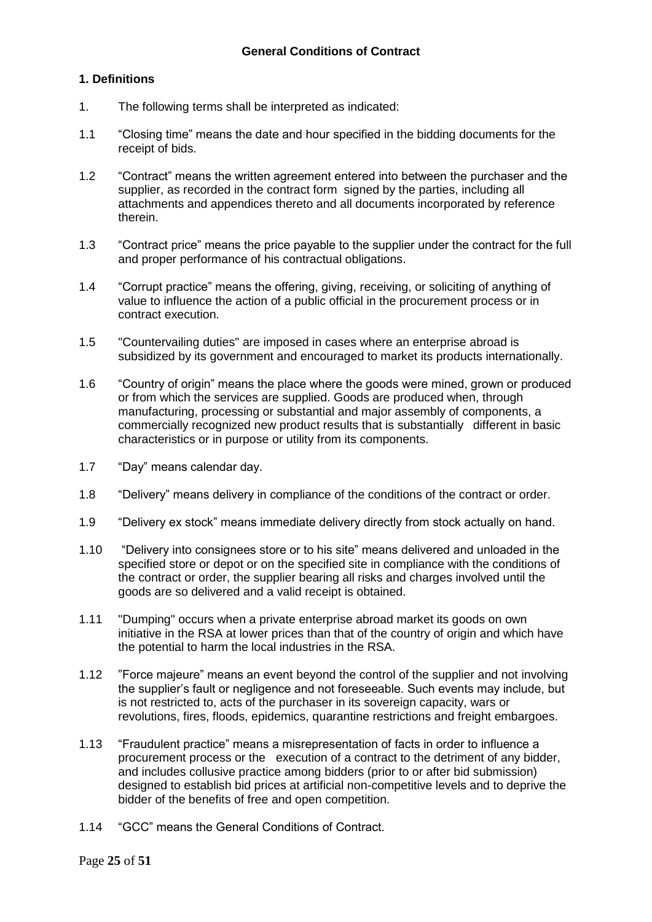#### **1. Definitions**

- 1. The following terms shall be interpreted as indicated:
- 1.1 "Closing time" means the date and hour specified in the bidding documents for the receipt of bids.
- 1.2 "Contract" means the written agreement entered into between the purchaser and the supplier, as recorded in the contract form signed by the parties, including all attachments and appendices thereto and all documents incorporated by reference therein.
- 1.3 "Contract price" means the price payable to the supplier under the contract for the full and proper performance of his contractual obligations.
- 1.4 "Corrupt practice" means the offering, giving, receiving, or soliciting of anything of value to influence the action of a public official in the procurement process or in contract execution.
- 1.5 "Countervailing duties" are imposed in cases where an enterprise abroad is subsidized by its government and encouraged to market its products internationally.
- 1.6 "Country of origin" means the place where the goods were mined, grown or produced or from which the services are supplied. Goods are produced when, through manufacturing, processing or substantial and major assembly of components, a commercially recognized new product results that is substantially different in basic characteristics or in purpose or utility from its components.
- 1.7 "Day" means calendar day.
- 1.8 "Delivery" means delivery in compliance of the conditions of the contract or order.
- 1.9 "Delivery ex stock" means immediate delivery directly from stock actually on hand.
- 1.10 "Delivery into consignees store or to his site" means delivered and unloaded in the specified store or depot or on the specified site in compliance with the conditions of the contract or order, the supplier bearing all risks and charges involved until the goods are so delivered and a valid receipt is obtained.
- 1.11 "Dumping" occurs when a private enterprise abroad market its goods on own initiative in the RSA at lower prices than that of the country of origin and which have the potential to harm the local industries in the RSA.
- 1.12 "Force majeure" means an event beyond the control of the supplier and not involving the supplier's fault or negligence and not foreseeable. Such events may include, but is not restricted to, acts of the purchaser in its sovereign capacity, wars or revolutions, fires, floods, epidemics, quarantine restrictions and freight embargoes.
- 1.13 "Fraudulent practice" means a misrepresentation of facts in order to influence a procurement process or the execution of a contract to the detriment of any bidder, and includes collusive practice among bidders (prior to or after bid submission) designed to establish bid prices at artificial non-competitive levels and to deprive the bidder of the benefits of free and open competition.
- 1.14 "GCC" means the General Conditions of Contract.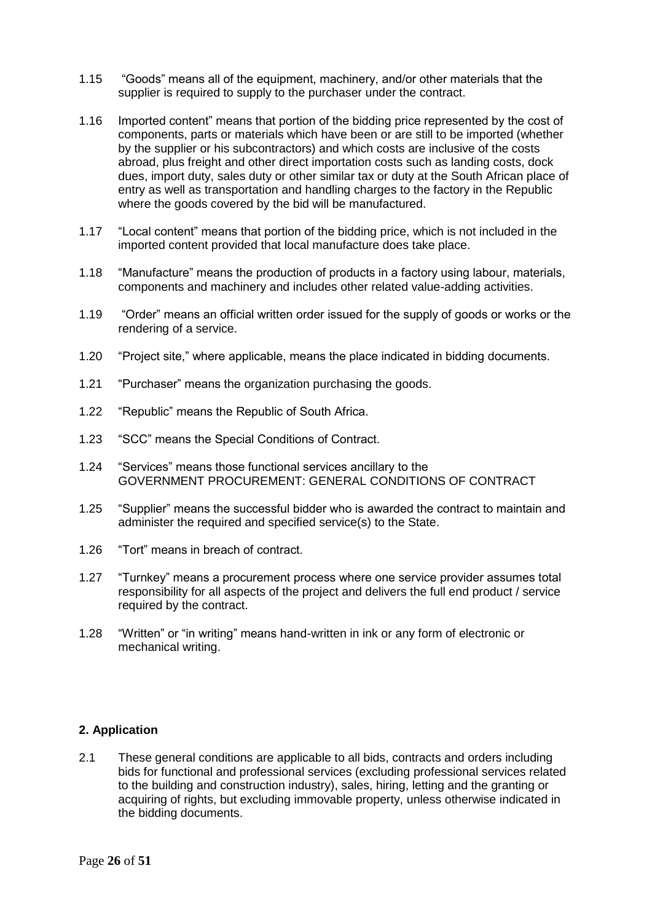- 1.15 "Goods" means all of the equipment, machinery, and/or other materials that the supplier is required to supply to the purchaser under the contract.
- 1.16 Imported content" means that portion of the bidding price represented by the cost of components, parts or materials which have been or are still to be imported (whether by the supplier or his subcontractors) and which costs are inclusive of the costs abroad, plus freight and other direct importation costs such as landing costs, dock dues, import duty, sales duty or other similar tax or duty at the South African place of entry as well as transportation and handling charges to the factory in the Republic where the goods covered by the bid will be manufactured.
- 1.17 "Local content" means that portion of the bidding price, which is not included in the imported content provided that local manufacture does take place.
- 1.18 "Manufacture" means the production of products in a factory using labour, materials, components and machinery and includes other related value-adding activities.
- 1.19 "Order" means an official written order issued for the supply of goods or works or the rendering of a service.
- 1.20 "Project site," where applicable, means the place indicated in bidding documents.
- 1.21 "Purchaser" means the organization purchasing the goods.
- 1.22 "Republic" means the Republic of South Africa.
- 1.23 "SCC" means the Special Conditions of Contract.
- 1.24 "Services" means those functional services ancillary to the GOVERNMENT PROCUREMENT: GENERAL CONDITIONS OF CONTRACT
- 1.25 "Supplier" means the successful bidder who is awarded the contract to maintain and administer the required and specified service(s) to the State.
- 1.26 "Tort" means in breach of contract.
- 1.27 "Turnkey" means a procurement process where one service provider assumes total responsibility for all aspects of the project and delivers the full end product / service required by the contract.
- 1.28 "Written" or "in writing" means hand-written in ink or any form of electronic or mechanical writing.

#### **2. Application**

2.1 These general conditions are applicable to all bids, contracts and orders including bids for functional and professional services (excluding professional services related to the building and construction industry), sales, hiring, letting and the granting or acquiring of rights, but excluding immovable property, unless otherwise indicated in the bidding documents.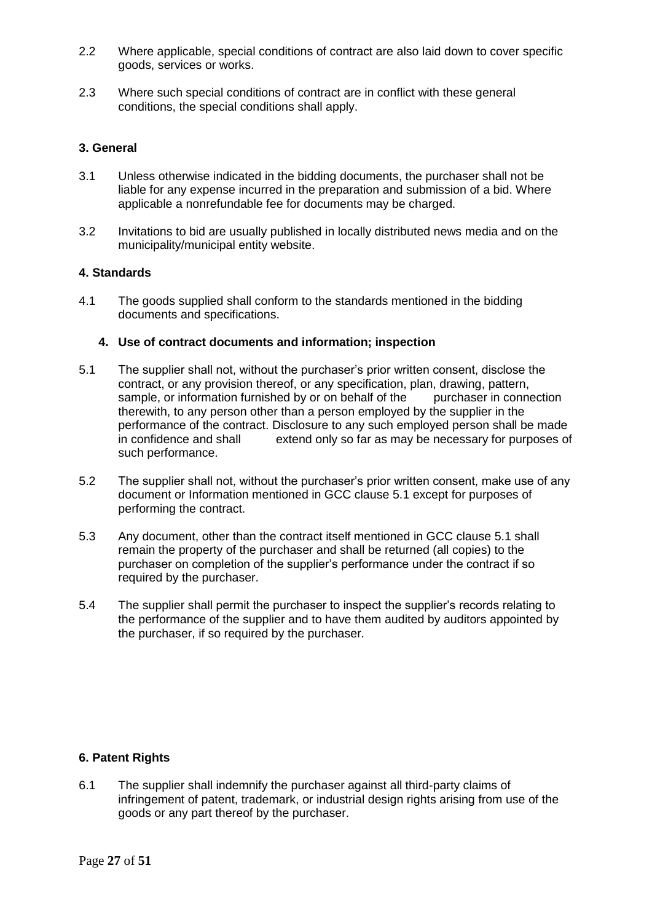- 2.2 Where applicable, special conditions of contract are also laid down to cover specific goods, services or works.
- 2.3 Where such special conditions of contract are in conflict with these general conditions, the special conditions shall apply.

#### **3. General**

- 3.1 Unless otherwise indicated in the bidding documents, the purchaser shall not be liable for any expense incurred in the preparation and submission of a bid. Where applicable a nonrefundable fee for documents may be charged.
- 3.2 Invitations to bid are usually published in locally distributed news media and on the municipality/municipal entity website.

#### **4. Standards**

4.1 The goods supplied shall conform to the standards mentioned in the bidding documents and specifications.

#### **4. Use of contract documents and information; inspection**

- 5.1 The supplier shall not, without the purchaser's prior written consent, disclose the contract, or any provision thereof, or any specification, plan, drawing, pattern, sample, or information furnished by or on behalf of the purchaser in connection therewith, to any person other than a person employed by the supplier in the performance of the contract. Disclosure to any such employed person shall be made in confidence and shall extend only so far as may be necessary for purposes of such performance.
- 5.2 The supplier shall not, without the purchaser's prior written consent, make use of any document or Information mentioned in GCC clause 5.1 except for purposes of performing the contract.
- 5.3 Any document, other than the contract itself mentioned in GCC clause 5.1 shall remain the property of the purchaser and shall be returned (all copies) to the purchaser on completion of the supplier's performance under the contract if so required by the purchaser.
- 5.4 The supplier shall permit the purchaser to inspect the supplier's records relating to the performance of the supplier and to have them audited by auditors appointed by the purchaser, if so required by the purchaser.

#### **6. Patent Rights**

6.1 The supplier shall indemnify the purchaser against all third-party claims of infringement of patent, trademark, or industrial design rights arising from use of the goods or any part thereof by the purchaser.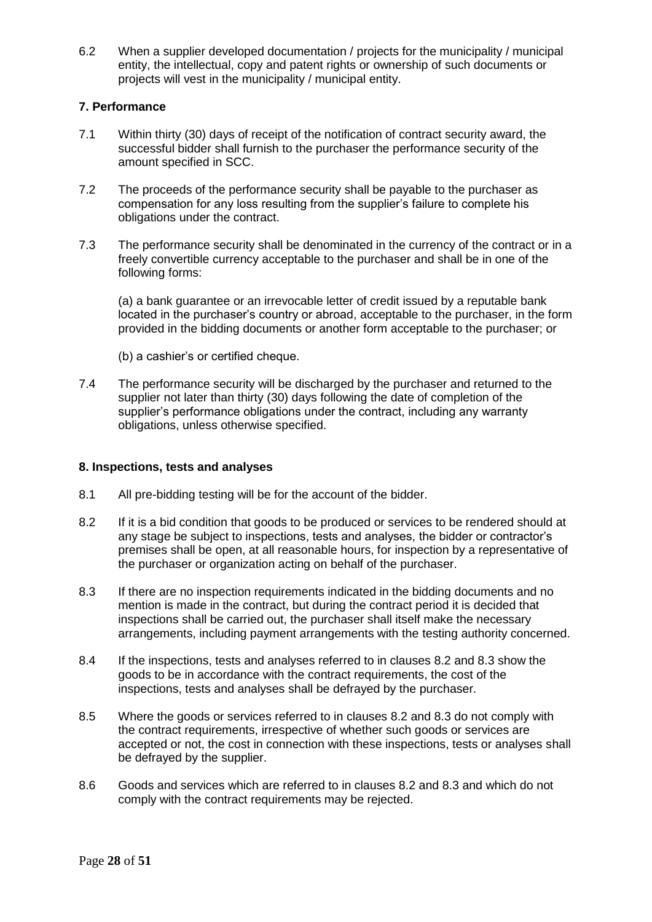6.2 When a supplier developed documentation / projects for the municipality / municipal entity, the intellectual, copy and patent rights or ownership of such documents or projects will vest in the municipality / municipal entity.

#### **7. Performance**

- 7.1 Within thirty (30) days of receipt of the notification of contract security award, the successful bidder shall furnish to the purchaser the performance security of the amount specified in SCC.
- 7.2 The proceeds of the performance security shall be payable to the purchaser as compensation for any loss resulting from the supplier's failure to complete his obligations under the contract.
- 7.3 The performance security shall be denominated in the currency of the contract or in a freely convertible currency acceptable to the purchaser and shall be in one of the following forms:

(a) a bank guarantee or an irrevocable letter of credit issued by a reputable bank located in the purchaser's country or abroad, acceptable to the purchaser, in the form provided in the bidding documents or another form acceptable to the purchaser; or

- (b) a cashier's or certified cheque.
- 7.4 The performance security will be discharged by the purchaser and returned to the supplier not later than thirty (30) days following the date of completion of the supplier's performance obligations under the contract, including any warranty obligations, unless otherwise specified.

#### **8. Inspections, tests and analyses**

- 8.1 All pre-bidding testing will be for the account of the bidder.
- 8.2 If it is a bid condition that goods to be produced or services to be rendered should at any stage be subject to inspections, tests and analyses, the bidder or contractor's premises shall be open, at all reasonable hours, for inspection by a representative of the purchaser or organization acting on behalf of the purchaser.
- 8.3 If there are no inspection requirements indicated in the bidding documents and no mention is made in the contract, but during the contract period it is decided that inspections shall be carried out, the purchaser shall itself make the necessary arrangements, including payment arrangements with the testing authority concerned.
- 8.4 If the inspections, tests and analyses referred to in clauses 8.2 and 8.3 show the goods to be in accordance with the contract requirements, the cost of the inspections, tests and analyses shall be defrayed by the purchaser.
- 8.5 Where the goods or services referred to in clauses 8.2 and 8.3 do not comply with the contract requirements, irrespective of whether such goods or services are accepted or not, the cost in connection with these inspections, tests or analyses shall be defrayed by the supplier.
- 8.6 Goods and services which are referred to in clauses 8.2 and 8.3 and which do not comply with the contract requirements may be rejected.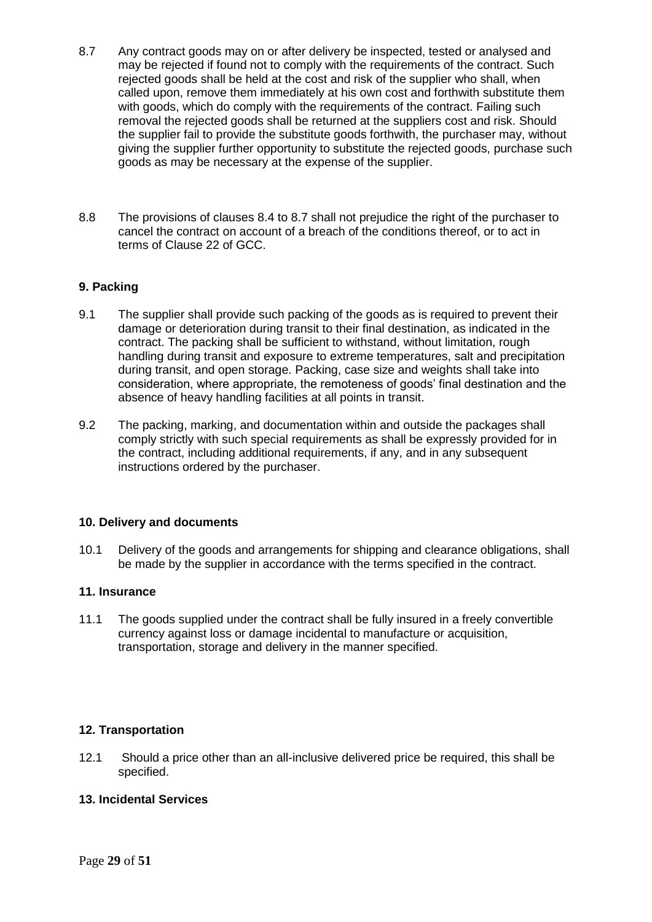- 8.7 Any contract goods may on or after delivery be inspected, tested or analysed and may be rejected if found not to comply with the requirements of the contract. Such rejected goods shall be held at the cost and risk of the supplier who shall, when called upon, remove them immediately at his own cost and forthwith substitute them with goods, which do comply with the requirements of the contract. Failing such removal the rejected goods shall be returned at the suppliers cost and risk. Should the supplier fail to provide the substitute goods forthwith, the purchaser may, without giving the supplier further opportunity to substitute the rejected goods, purchase such goods as may be necessary at the expense of the supplier.
- 8.8 The provisions of clauses 8.4 to 8.7 shall not prejudice the right of the purchaser to cancel the contract on account of a breach of the conditions thereof, or to act in terms of Clause 22 of GCC.

#### **9. Packing**

- 9.1 The supplier shall provide such packing of the goods as is required to prevent their damage or deterioration during transit to their final destination, as indicated in the contract. The packing shall be sufficient to withstand, without limitation, rough handling during transit and exposure to extreme temperatures, salt and precipitation during transit, and open storage. Packing, case size and weights shall take into consideration, where appropriate, the remoteness of goods' final destination and the absence of heavy handling facilities at all points in transit.
- 9.2 The packing, marking, and documentation within and outside the packages shall comply strictly with such special requirements as shall be expressly provided for in the contract, including additional requirements, if any, and in any subsequent instructions ordered by the purchaser.

#### **10. Delivery and documents**

10.1 Delivery of the goods and arrangements for shipping and clearance obligations, shall be made by the supplier in accordance with the terms specified in the contract.

#### **11. Insurance**

11.1 The goods supplied under the contract shall be fully insured in a freely convertible currency against loss or damage incidental to manufacture or acquisition, transportation, storage and delivery in the manner specified.

#### **12. Transportation**

12.1 Should a price other than an all-inclusive delivered price be required, this shall be specified.

#### **13. Incidental Services**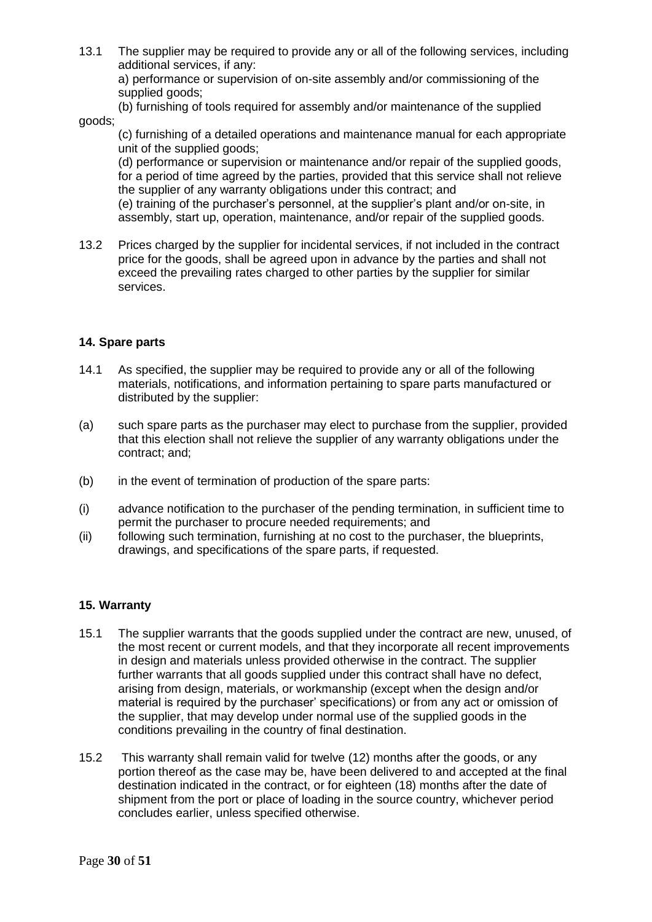13.1 The supplier may be required to provide any or all of the following services, including additional services, if any:

a) performance or supervision of on-site assembly and/or commissioning of the supplied goods;

(b) furnishing of tools required for assembly and/or maintenance of the supplied goods;

(c) furnishing of a detailed operations and maintenance manual for each appropriate unit of the supplied goods;

(d) performance or supervision or maintenance and/or repair of the supplied goods, for a period of time agreed by the parties, provided that this service shall not relieve the supplier of any warranty obligations under this contract; and

(e) training of the purchaser's personnel, at the supplier's plant and/or on-site, in assembly, start up, operation, maintenance, and/or repair of the supplied goods.

13.2 Prices charged by the supplier for incidental services, if not included in the contract price for the goods, shall be agreed upon in advance by the parties and shall not exceed the prevailing rates charged to other parties by the supplier for similar services.

#### **14. Spare parts**

- 14.1 As specified, the supplier may be required to provide any or all of the following materials, notifications, and information pertaining to spare parts manufactured or distributed by the supplier:
- (a) such spare parts as the purchaser may elect to purchase from the supplier, provided that this election shall not relieve the supplier of any warranty obligations under the contract; and;
- (b) in the event of termination of production of the spare parts:
- (i) advance notification to the purchaser of the pending termination, in sufficient time to permit the purchaser to procure needed requirements; and
- (ii) following such termination, furnishing at no cost to the purchaser, the blueprints, drawings, and specifications of the spare parts, if requested.

#### **15. Warranty**

- 15.1 The supplier warrants that the goods supplied under the contract are new, unused, of the most recent or current models, and that they incorporate all recent improvements in design and materials unless provided otherwise in the contract. The supplier further warrants that all goods supplied under this contract shall have no defect, arising from design, materials, or workmanship (except when the design and/or material is required by the purchaser' specifications) or from any act or omission of the supplier, that may develop under normal use of the supplied goods in the conditions prevailing in the country of final destination.
- 15.2 This warranty shall remain valid for twelve (12) months after the goods, or any portion thereof as the case may be, have been delivered to and accepted at the final destination indicated in the contract, or for eighteen (18) months after the date of shipment from the port or place of loading in the source country, whichever period concludes earlier, unless specified otherwise.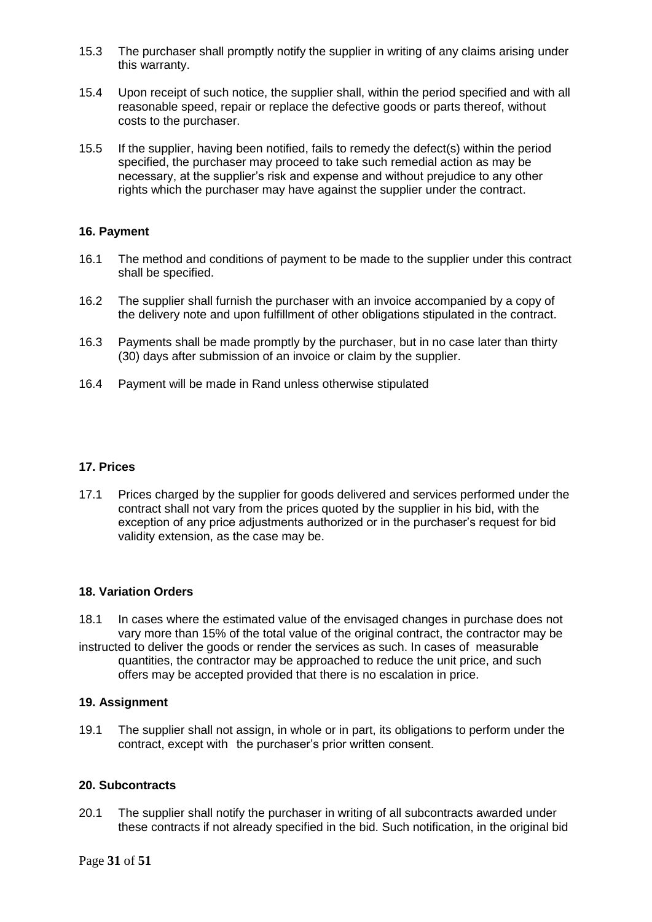- 15.3 The purchaser shall promptly notify the supplier in writing of any claims arising under this warranty.
- 15.4 Upon receipt of such notice, the supplier shall, within the period specified and with all reasonable speed, repair or replace the defective goods or parts thereof, without costs to the purchaser.
- 15.5 If the supplier, having been notified, fails to remedy the defect(s) within the period specified, the purchaser may proceed to take such remedial action as may be necessary, at the supplier's risk and expense and without prejudice to any other rights which the purchaser may have against the supplier under the contract.

#### **16. Payment**

- 16.1 The method and conditions of payment to be made to the supplier under this contract shall be specified.
- 16.2 The supplier shall furnish the purchaser with an invoice accompanied by a copy of the delivery note and upon fulfillment of other obligations stipulated in the contract.
- 16.3 Payments shall be made promptly by the purchaser, but in no case later than thirty (30) days after submission of an invoice or claim by the supplier.
- 16.4 Payment will be made in Rand unless otherwise stipulated

#### **17. Prices**

17.1 Prices charged by the supplier for goods delivered and services performed under the contract shall not vary from the prices quoted by the supplier in his bid, with the exception of any price adjustments authorized or in the purchaser's request for bid validity extension, as the case may be.

#### **18. Variation Orders**

18.1 In cases where the estimated value of the envisaged changes in purchase does not vary more than 15% of the total value of the original contract, the contractor may be

instructed to deliver the goods or render the services as such. In cases of measurable quantities, the contractor may be approached to reduce the unit price, and such offers may be accepted provided that there is no escalation in price.

#### **19. Assignment**

19.1 The supplier shall not assign, in whole or in part, its obligations to perform under the contract, except with the purchaser's prior written consent.

#### **20. Subcontracts**

20.1 The supplier shall notify the purchaser in writing of all subcontracts awarded under these contracts if not already specified in the bid. Such notification, in the original bid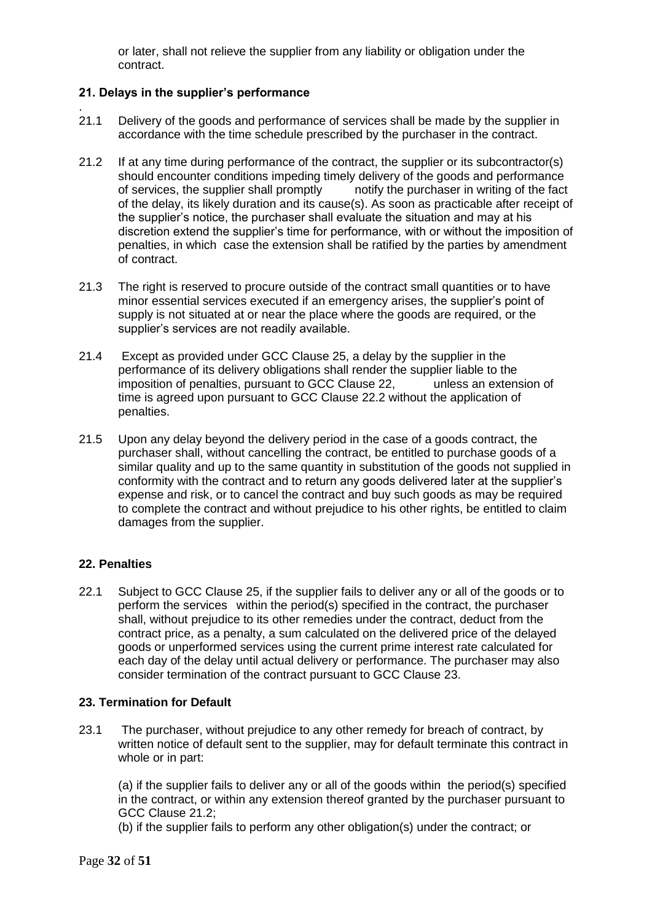or later, shall not relieve the supplier from any liability or obligation under the contract.

#### **21. Delays in the supplier's performance**

- . 21.1 Delivery of the goods and performance of services shall be made by the supplier in accordance with the time schedule prescribed by the purchaser in the contract.
- 21.2 If at any time during performance of the contract, the supplier or its subcontractor(s) should encounter conditions impeding timely delivery of the goods and performance of services, the supplier shall promptly notify the purchaser in writing of the fact of the delay, its likely duration and its cause(s). As soon as practicable after receipt of the supplier's notice, the purchaser shall evaluate the situation and may at his discretion extend the supplier's time for performance, with or without the imposition of penalties, in which case the extension shall be ratified by the parties by amendment of contract.
- 21.3 The right is reserved to procure outside of the contract small quantities or to have minor essential services executed if an emergency arises, the supplier's point of supply is not situated at or near the place where the goods are required, or the supplier's services are not readily available.
- 21.4 Except as provided under GCC Clause 25, a delay by the supplier in the performance of its delivery obligations shall render the supplier liable to the imposition of penalties, pursuant to GCC Clause 22, unless an extension of time is agreed upon pursuant to GCC Clause 22.2 without the application of penalties.
- 21.5 Upon any delay beyond the delivery period in the case of a goods contract, the purchaser shall, without cancelling the contract, be entitled to purchase goods of a similar quality and up to the same quantity in substitution of the goods not supplied in conformity with the contract and to return any goods delivered later at the supplier's expense and risk, or to cancel the contract and buy such goods as may be required to complete the contract and without prejudice to his other rights, be entitled to claim damages from the supplier.

#### **22. Penalties**

22.1 Subject to GCC Clause 25, if the supplier fails to deliver any or all of the goods or to perform the services within the period(s) specified in the contract, the purchaser shall, without prejudice to its other remedies under the contract, deduct from the contract price, as a penalty, a sum calculated on the delivered price of the delayed goods or unperformed services using the current prime interest rate calculated for each day of the delay until actual delivery or performance. The purchaser may also consider termination of the contract pursuant to GCC Clause 23.

#### **23. Termination for Default**

23.1 The purchaser, without prejudice to any other remedy for breach of contract, by written notice of default sent to the supplier, may for default terminate this contract in whole or in part:

(a) if the supplier fails to deliver any or all of the goods within the period(s) specified in the contract, or within any extension thereof granted by the purchaser pursuant to GCC Clause 21.2;

(b) if the supplier fails to perform any other obligation(s) under the contract; or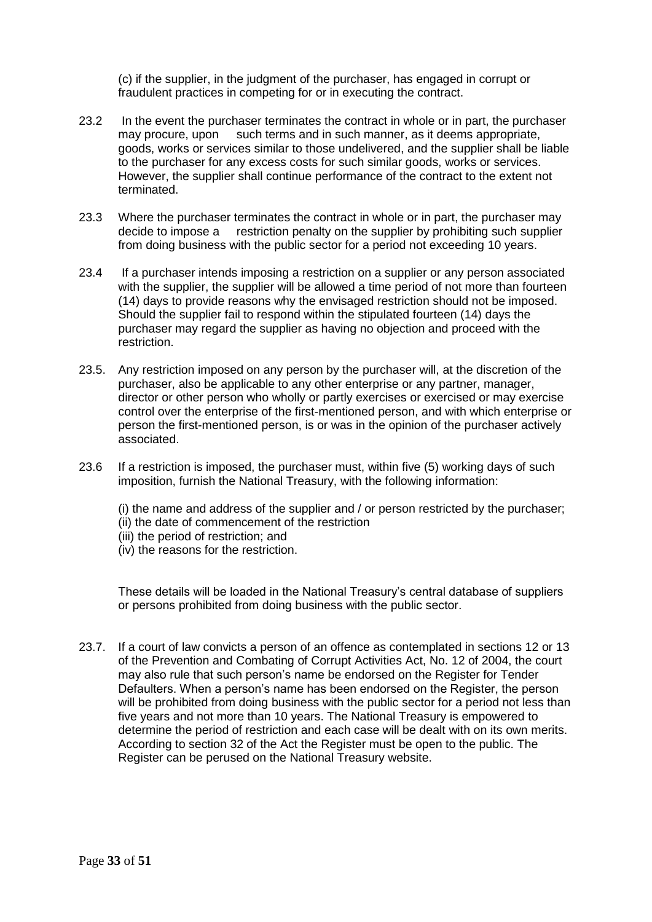(c) if the supplier, in the judgment of the purchaser, has engaged in corrupt or fraudulent practices in competing for or in executing the contract.

- 23.2 In the event the purchaser terminates the contract in whole or in part, the purchaser may procure, upon such terms and in such manner, as it deems appropriate, goods, works or services similar to those undelivered, and the supplier shall be liable to the purchaser for any excess costs for such similar goods, works or services. However, the supplier shall continue performance of the contract to the extent not terminated.
- 23.3 Where the purchaser terminates the contract in whole or in part, the purchaser may decide to impose a restriction penalty on the supplier by prohibiting such supplier from doing business with the public sector for a period not exceeding 10 years.
- 23.4 If a purchaser intends imposing a restriction on a supplier or any person associated with the supplier, the supplier will be allowed a time period of not more than fourteen (14) days to provide reasons why the envisaged restriction should not be imposed. Should the supplier fail to respond within the stipulated fourteen (14) days the purchaser may regard the supplier as having no objection and proceed with the restriction.
- 23.5. Any restriction imposed on any person by the purchaser will, at the discretion of the purchaser, also be applicable to any other enterprise or any partner, manager, director or other person who wholly or partly exercises or exercised or may exercise control over the enterprise of the first-mentioned person, and with which enterprise or person the first-mentioned person, is or was in the opinion of the purchaser actively associated.
- 23.6 If a restriction is imposed, the purchaser must, within five (5) working days of such imposition, furnish the National Treasury, with the following information:

(i) the name and address of the supplier and / or person restricted by the purchaser; (ii) the date of commencement of the restriction

- (iii) the period of restriction; and
- (iv) the reasons for the restriction.

These details will be loaded in the National Treasury's central database of suppliers or persons prohibited from doing business with the public sector.

23.7. If a court of law convicts a person of an offence as contemplated in sections 12 or 13 of the Prevention and Combating of Corrupt Activities Act, No. 12 of 2004, the court may also rule that such person's name be endorsed on the Register for Tender Defaulters. When a person's name has been endorsed on the Register, the person will be prohibited from doing business with the public sector for a period not less than five years and not more than 10 years. The National Treasury is empowered to determine the period of restriction and each case will be dealt with on its own merits. According to section 32 of the Act the Register must be open to the public. The Register can be perused on the National Treasury website.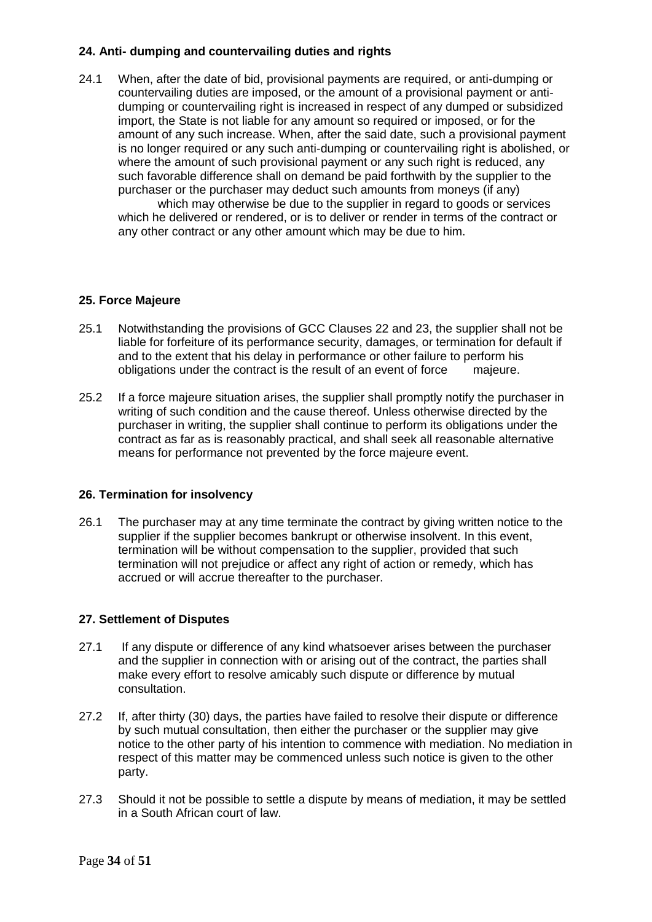#### **24. Anti- dumping and countervailing duties and rights**

24.1 When, after the date of bid, provisional payments are required, or anti-dumping or countervailing duties are imposed, or the amount of a provisional payment or antidumping or countervailing right is increased in respect of any dumped or subsidized import, the State is not liable for any amount so required or imposed, or for the amount of any such increase. When, after the said date, such a provisional payment is no longer required or any such anti-dumping or countervailing right is abolished, or where the amount of such provisional payment or any such right is reduced, any such favorable difference shall on demand be paid forthwith by the supplier to the purchaser or the purchaser may deduct such amounts from moneys (if any)

which may otherwise be due to the supplier in regard to goods or services which he delivered or rendered, or is to deliver or render in terms of the contract or any other contract or any other amount which may be due to him.

#### **25. Force Majeure**

- 25.1 Notwithstanding the provisions of GCC Clauses 22 and 23, the supplier shall not be liable for forfeiture of its performance security, damages, or termination for default if and to the extent that his delay in performance or other failure to perform his obligations under the contract is the result of an event of force majeure.
- 25.2 If a force majeure situation arises, the supplier shall promptly notify the purchaser in writing of such condition and the cause thereof. Unless otherwise directed by the purchaser in writing, the supplier shall continue to perform its obligations under the contract as far as is reasonably practical, and shall seek all reasonable alternative means for performance not prevented by the force majeure event.

#### **26. Termination for insolvency**

26.1 The purchaser may at any time terminate the contract by giving written notice to the supplier if the supplier becomes bankrupt or otherwise insolvent. In this event, termination will be without compensation to the supplier, provided that such termination will not prejudice or affect any right of action or remedy, which has accrued or will accrue thereafter to the purchaser.

#### **27. Settlement of Disputes**

- 27.1 If any dispute or difference of any kind whatsoever arises between the purchaser and the supplier in connection with or arising out of the contract, the parties shall make every effort to resolve amicably such dispute or difference by mutual consultation.
- 27.2 If, after thirty (30) days, the parties have failed to resolve their dispute or difference by such mutual consultation, then either the purchaser or the supplier may give notice to the other party of his intention to commence with mediation. No mediation in respect of this matter may be commenced unless such notice is given to the other party.
- 27.3 Should it not be possible to settle a dispute by means of mediation, it may be settled in a South African court of law.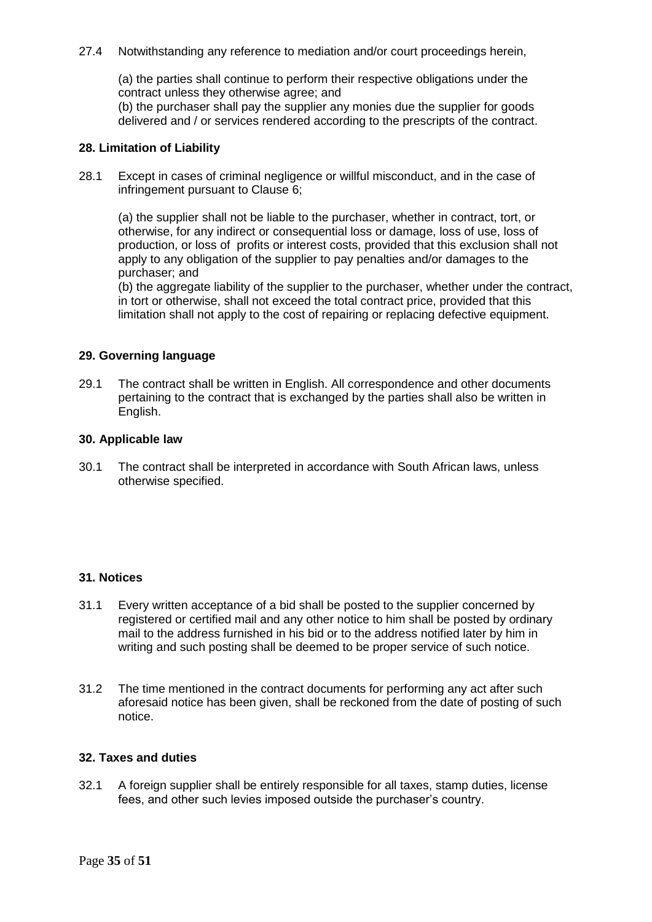27.4 Notwithstanding any reference to mediation and/or court proceedings herein,

(a) the parties shall continue to perform their respective obligations under the contract unless they otherwise agree; and

(b) the purchaser shall pay the supplier any monies due the supplier for goods delivered and / or services rendered according to the prescripts of the contract.

#### **28. Limitation of Liability**

28.1 Except in cases of criminal negligence or willful misconduct, and in the case of infringement pursuant to Clause 6;

(a) the supplier shall not be liable to the purchaser, whether in contract, tort, or otherwise, for any indirect or consequential loss or damage, loss of use, loss of production, or loss of profits or interest costs, provided that this exclusion shall not apply to any obligation of the supplier to pay penalties and/or damages to the purchaser; and

(b) the aggregate liability of the supplier to the purchaser, whether under the contract, in tort or otherwise, shall not exceed the total contract price, provided that this limitation shall not apply to the cost of repairing or replacing defective equipment.

#### **29. Governing language**

29.1 The contract shall be written in English. All correspondence and other documents pertaining to the contract that is exchanged by the parties shall also be written in English.

#### **30. Applicable law**

30.1 The contract shall be interpreted in accordance with South African laws, unless otherwise specified.

#### **31. Notices**

- 31.1 Every written acceptance of a bid shall be posted to the supplier concerned by registered or certified mail and any other notice to him shall be posted by ordinary mail to the address furnished in his bid or to the address notified later by him in writing and such posting shall be deemed to be proper service of such notice.
- 31.2 The time mentioned in the contract documents for performing any act after such aforesaid notice has been given, shall be reckoned from the date of posting of such notice.

#### **32. Taxes and duties**

32.1 A foreign supplier shall be entirely responsible for all taxes, stamp duties, license fees, and other such levies imposed outside the purchaser's country.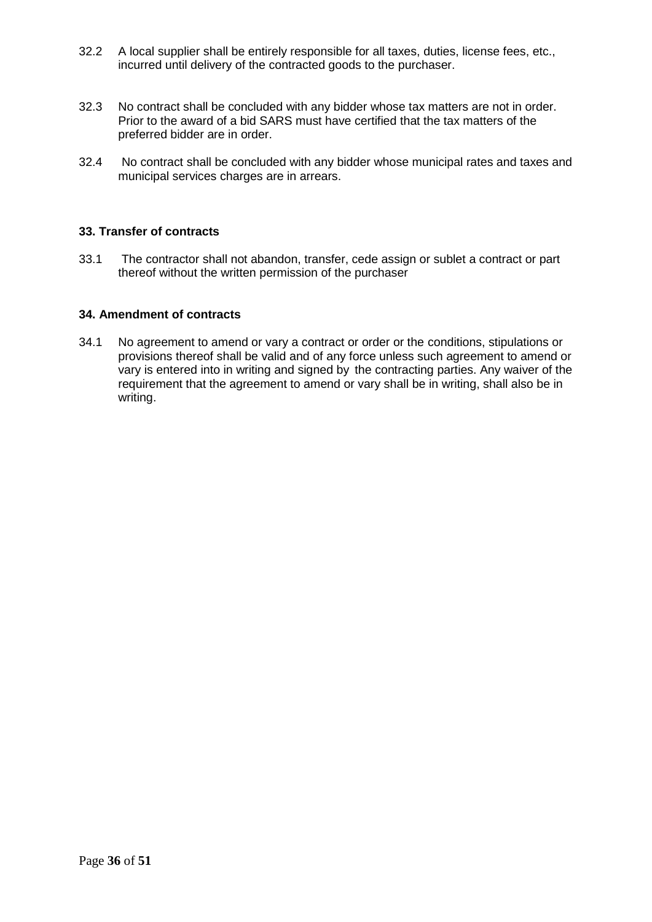- 32.2 A local supplier shall be entirely responsible for all taxes, duties, license fees, etc., incurred until delivery of the contracted goods to the purchaser.
- 32.3 No contract shall be concluded with any bidder whose tax matters are not in order. Prior to the award of a bid SARS must have certified that the tax matters of the preferred bidder are in order.
- 32.4 No contract shall be concluded with any bidder whose municipal rates and taxes and municipal services charges are in arrears.

#### **33. Transfer of contracts**

33.1 The contractor shall not abandon, transfer, cede assign or sublet a contract or part thereof without the written permission of the purchaser

#### **34. Amendment of contracts**

34.1 No agreement to amend or vary a contract or order or the conditions, stipulations or provisions thereof shall be valid and of any force unless such agreement to amend or vary is entered into in writing and signed by the contracting parties. Any waiver of the requirement that the agreement to amend or vary shall be in writing, shall also be in writing.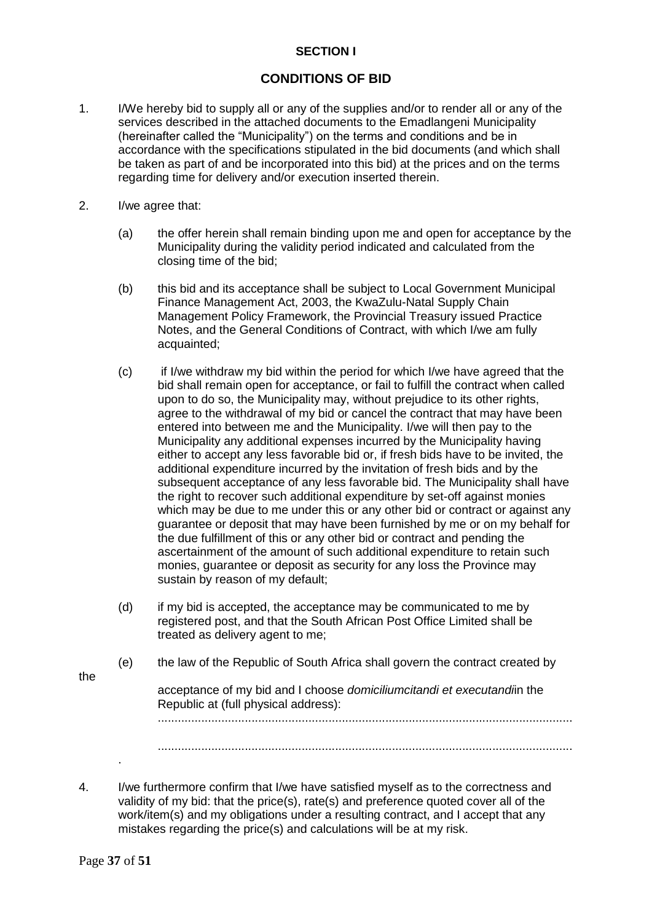#### **SECTION I**

#### **CONDITIONS OF BID**

- 1. I/We hereby bid to supply all or any of the supplies and/or to render all or any of the services described in the attached documents to the Emadlangeni Municipality (hereinafter called the "Municipality") on the terms and conditions and be in accordance with the specifications stipulated in the bid documents (and which shall be taken as part of and be incorporated into this bid) at the prices and on the terms regarding time for delivery and/or execution inserted therein.
- 2. I/we agree that:
	- (a) the offer herein shall remain binding upon me and open for acceptance by the Municipality during the validity period indicated and calculated from the closing time of the bid;
	- (b) this bid and its acceptance shall be subject to Local Government Municipal Finance Management Act, 2003, the KwaZulu-Natal Supply Chain Management Policy Framework, the Provincial Treasury issued Practice Notes, and the General Conditions of Contract, with which I/we am fully acquainted;
	- (c) if I/we withdraw my bid within the period for which I/we have agreed that the bid shall remain open for acceptance, or fail to fulfill the contract when called upon to do so, the Municipality may, without prejudice to its other rights, agree to the withdrawal of my bid or cancel the contract that may have been entered into between me and the Municipality. I/we will then pay to the Municipality any additional expenses incurred by the Municipality having either to accept any less favorable bid or, if fresh bids have to be invited, the additional expenditure incurred by the invitation of fresh bids and by the subsequent acceptance of any less favorable bid. The Municipality shall have the right to recover such additional expenditure by set-off against monies which may be due to me under this or any other bid or contract or against any guarantee or deposit that may have been furnished by me or on my behalf for the due fulfillment of this or any other bid or contract and pending the ascertainment of the amount of such additional expenditure to retain such monies, guarantee or deposit as security for any loss the Province may sustain by reason of my default;
	- (d) if my bid is accepted, the acceptance may be communicated to me by registered post, and that the South African Post Office Limited shall be treated as delivery agent to me;
	- (e) the law of the Republic of South Africa shall govern the contract created by

the

acceptance of my bid and I choose *domiciliumcitandi et executandi*in the Republic at (full physical address): ............................................................................................................................

............................................................................................................................

4. I/we furthermore confirm that I/we have satisfied myself as to the correctness and validity of my bid: that the price(s), rate(s) and preference quoted cover all of the work/item(s) and my obligations under a resulting contract, and I accept that any mistakes regarding the price(s) and calculations will be at my risk.

.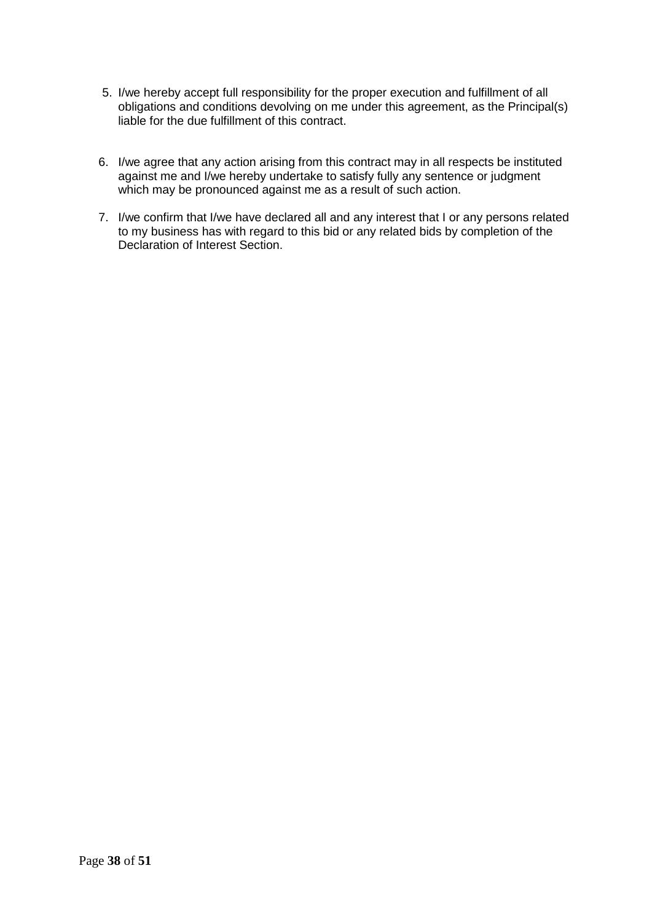- 5. I/we hereby accept full responsibility for the proper execution and fulfillment of all obligations and conditions devolving on me under this agreement, as the Principal(s) liable for the due fulfillment of this contract.
- 6. I/we agree that any action arising from this contract may in all respects be instituted against me and I/we hereby undertake to satisfy fully any sentence or judgment which may be pronounced against me as a result of such action.
- 7. I/we confirm that I/we have declared all and any interest that I or any persons related to my business has with regard to this bid or any related bids by completion of the Declaration of Interest Section.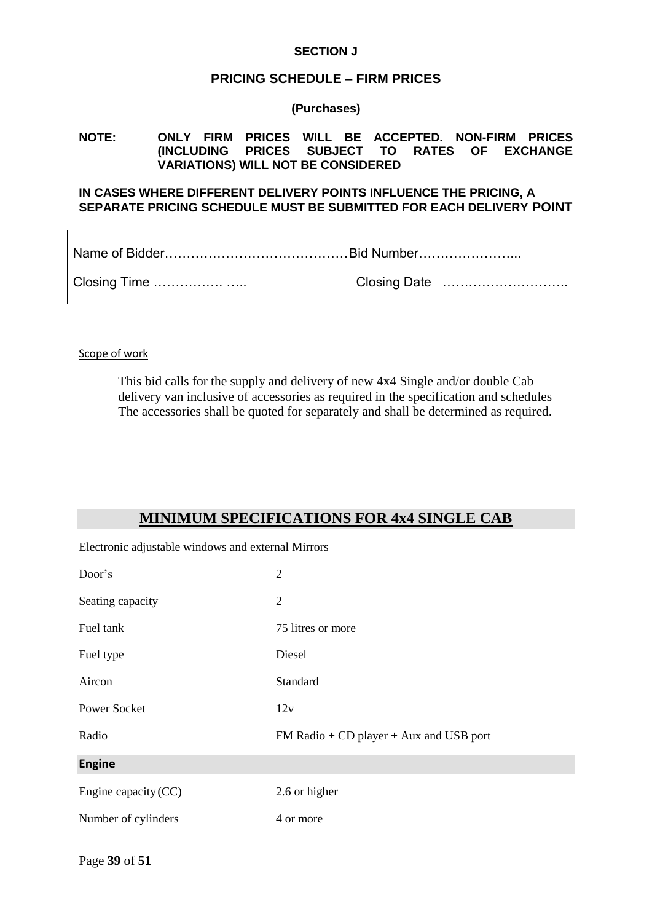#### **SECTION J**

#### **PRICING SCHEDULE – FIRM PRICES**

**(Purchases)**

#### **NOTE: ONLY FIRM PRICES WILL BE ACCEPTED. NON-FIRM PRICES (INCLUDING PRICES SUBJECT TO RATES OF EXCHANGE VARIATIONS) WILL NOT BE CONSIDERED**

#### **IN CASES WHERE DIFFERENT DELIVERY POINTS INFLUENCE THE PRICING, A SEPARATE PRICING SCHEDULE MUST BE SUBMITTED FOR EACH DELIVERY POINT**

Scope of work

This bid calls for the supply and delivery of new 4x4 Single and/or double Cab delivery van inclusive of accessories as required in the specification and schedules The accessories shall be quoted for separately and shall be determined as required.

## **MINIMUM SPECIFICATIONS FOR 4x4 SINGLE CAB**

Electronic adjustable windows and external Mirrors

| Door's               | $\overline{2}$                            |
|----------------------|-------------------------------------------|
| Seating capacity     | $\overline{2}$                            |
| Fuel tank            | 75 litres or more                         |
| Fuel type            | Diesel                                    |
| Aircon               | Standard                                  |
| <b>Power Socket</b>  | 12v                                       |
| Radio                | $FM$ Radio + CD player + Aux and USB port |
| <b>Engine</b>        |                                           |
| Engine capacity (CC) | 2.6 or higher                             |
| Number of cylinders  | 4 or more                                 |
|                      |                                           |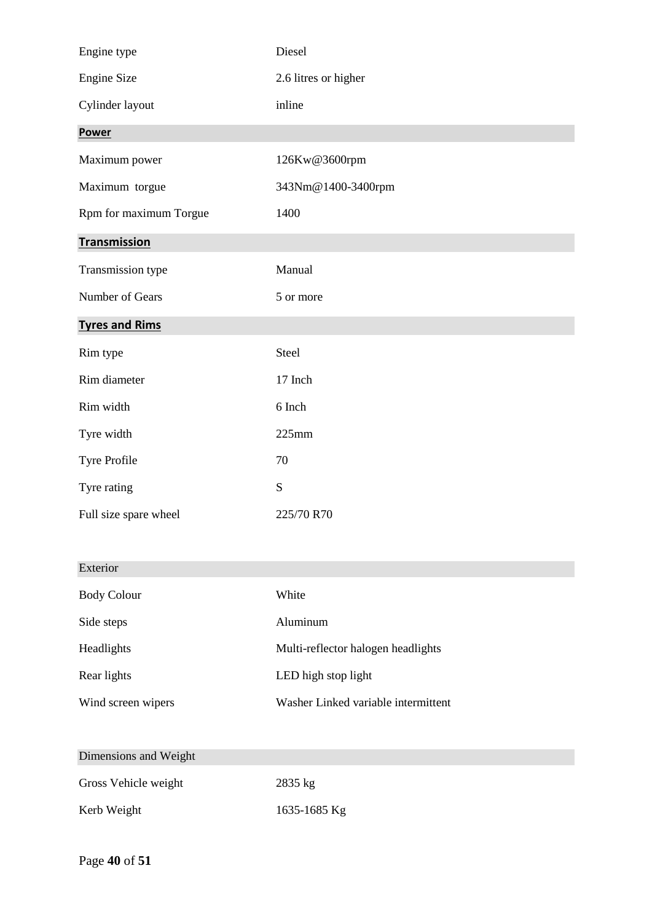| Engine type            | Diesel               |
|------------------------|----------------------|
| Engine Size            | 2.6 litres or higher |
| Cylinder layout        | inline               |
| <b>Power</b>           |                      |
| Maximum power          | 126Kw@3600rpm        |
| Maximum torgue         | 343Nm@1400-3400rpm   |
| Rpm for maximum Torgue | 1400                 |
| <b>Transmission</b>    |                      |
| Transmission type      | Manual               |
| Number of Gears        | 5 or more            |
| <b>Tyres and Rims</b>  |                      |
| Rim type               | Steel                |
| Rim diameter           | 17 Inch              |
| Rim width              | 6 Inch               |
| Tyre width             | 225mm                |
| Tyre Profile           | 70                   |
| Tyre rating            | ${\bf S}$            |
| Full size spare wheel  | 225/70 R70           |

| Exterior           |                                     |
|--------------------|-------------------------------------|
| <b>Body Colour</b> | White                               |
| Side steps         | Aluminum                            |
| Headlights         | Multi-reflector halogen headlights  |
| Rear lights        | LED high stop light                 |
| Wind screen wipers | Washer Linked variable intermittent |
|                    |                                     |

| Dimensions and Weight |              |
|-----------------------|--------------|
| Gross Vehicle weight  | $2835$ kg    |
| Kerb Weight           | 1635-1685 Kg |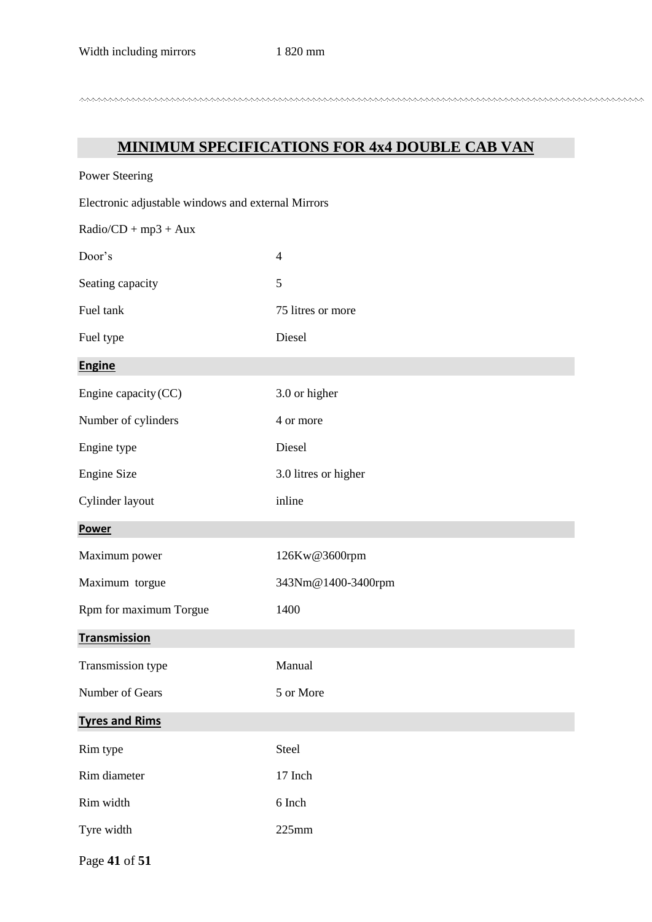## **MINIMUM SPECIFICATIONS FOR 4x4 DOUBLE CAB VAN**

| <b>Power Steering</b>                              |                      |  |  |
|----------------------------------------------------|----------------------|--|--|
| Electronic adjustable windows and external Mirrors |                      |  |  |
| $Radio/CD + mp3 + Aux$                             |                      |  |  |
| Door's                                             | $\overline{4}$       |  |  |
| Seating capacity                                   | 5                    |  |  |
| Fuel tank                                          | 75 litres or more    |  |  |
| Fuel type                                          | Diesel               |  |  |
| <b>Engine</b>                                      |                      |  |  |
| Engine capacity (CC)                               | 3.0 or higher        |  |  |
| Number of cylinders                                | 4 or more            |  |  |
| Engine type                                        | Diesel               |  |  |
| <b>Engine Size</b>                                 | 3.0 litres or higher |  |  |
| Cylinder layout                                    | inline               |  |  |
| <b>Power</b>                                       |                      |  |  |
| Maximum power                                      | 126Kw@3600rpm        |  |  |
| Maximum torgue                                     | 343Nm@1400-3400rpm   |  |  |
| Rpm for maximum Torgue                             | 1400                 |  |  |
| <b>Transmission</b>                                |                      |  |  |
| Transmission type                                  | Manual               |  |  |
| Number of Gears                                    | 5 or More            |  |  |
| <b>Tyres and Rims</b>                              |                      |  |  |
| Rim type                                           | Steel                |  |  |
| Rim diameter                                       | 17 Inch              |  |  |
| Rim width                                          | 6 Inch               |  |  |
| Tyre width                                         | 225mm                |  |  |
|                                                    |                      |  |  |

Page **41** of **51**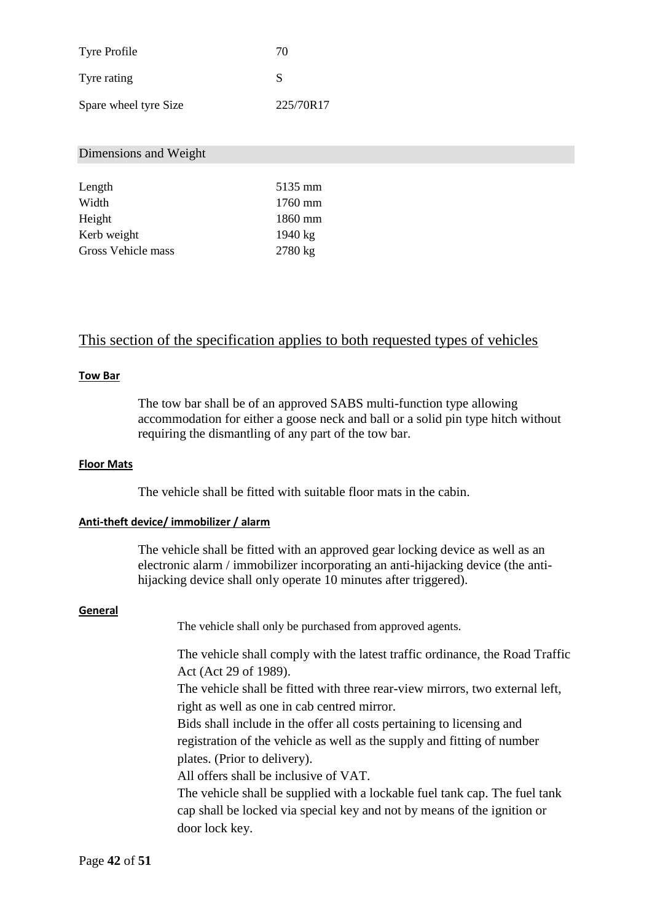| <b>Tyre Profile</b>   | 70        |
|-----------------------|-----------|
| Tyre rating           | S         |
| Spare wheel tyre Size | 225/70R17 |

#### Dimensions and Weight

| Length             | 5135 mm           |
|--------------------|-------------------|
| Width              | $1760$ mm         |
|                    |                   |
| Height             | 1860 mm           |
| Kerb weight        | $1940 \text{ kg}$ |
| Gross Vehicle mass | 2780 kg           |

## This section of the specification applies to both requested types of vehicles

#### **Tow Bar**

The tow bar shall be of an approved SABS multi-function type allowing accommodation for either a goose neck and ball or a solid pin type hitch without requiring the dismantling of any part of the tow bar.

#### **Floor Mats**

The vehicle shall be fitted with suitable floor mats in the cabin.

#### **Anti-theft device/ immobilizer / alarm**

The vehicle shall be fitted with an approved gear locking device as well as an electronic alarm / immobilizer incorporating an anti-hijacking device (the antihijacking device shall only operate 10 minutes after triggered).

#### **General**

The vehicle shall only be purchased from approved agents.

The vehicle shall comply with the latest traffic ordinance, the Road Traffic Act (Act 29 of 1989).

The vehicle shall be fitted with three rear-view mirrors, two external left, right as well as one in cab centred mirror.

Bids shall include in the offer all costs pertaining to licensing and registration of the vehicle as well as the supply and fitting of number plates. (Prior to delivery).

All offers shall be inclusive of VAT.

The vehicle shall be supplied with a lockable fuel tank cap. The fuel tank cap shall be locked via special key and not by means of the ignition or door lock key.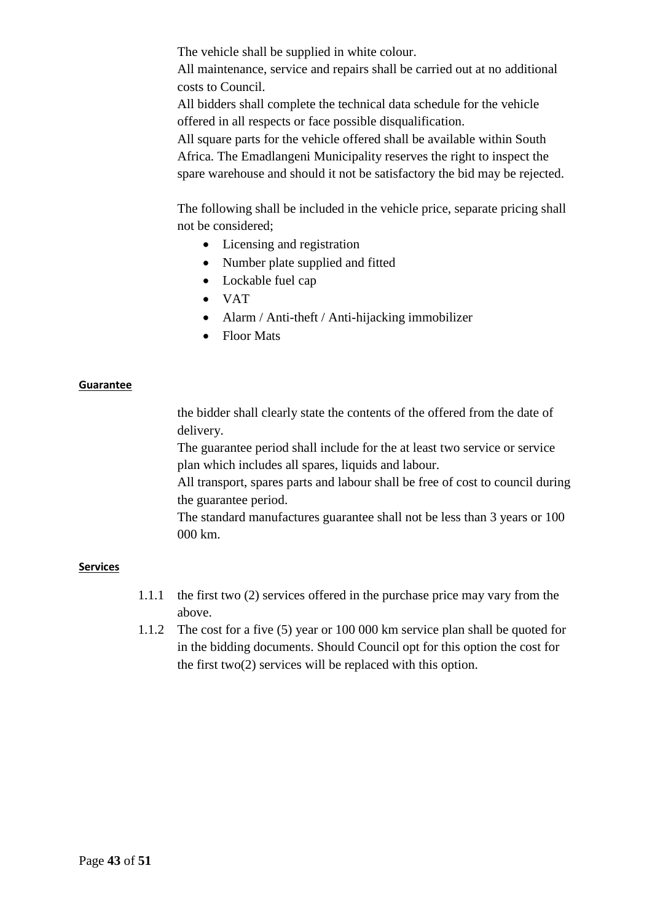The vehicle shall be supplied in white colour.

All maintenance, service and repairs shall be carried out at no additional costs to Council.

All bidders shall complete the technical data schedule for the vehicle offered in all respects or face possible disqualification.

All square parts for the vehicle offered shall be available within South Africa. The Emadlangeni Municipality reserves the right to inspect the spare warehouse and should it not be satisfactory the bid may be rejected.

The following shall be included in the vehicle price, separate pricing shall not be considered;

- Licensing and registration
- Number plate supplied and fitted
- Lockable fuel cap
- $\bullet$  VAT
- Alarm / Anti-theft / Anti-hijacking immobilizer
- Floor Mats

#### **Guarantee**

the bidder shall clearly state the contents of the offered from the date of delivery.

The guarantee period shall include for the at least two service or service plan which includes all spares, liquids and labour.

All transport, spares parts and labour shall be free of cost to council during the guarantee period.

The standard manufactures guarantee shall not be less than 3 years or 100 000 km.

#### **Services**

- 1.1.1 the first two (2) services offered in the purchase price may vary from the above.
- 1.1.2 The cost for a five (5) year or 100 000 km service plan shall be quoted for in the bidding documents. Should Council opt for this option the cost for the first two(2) services will be replaced with this option.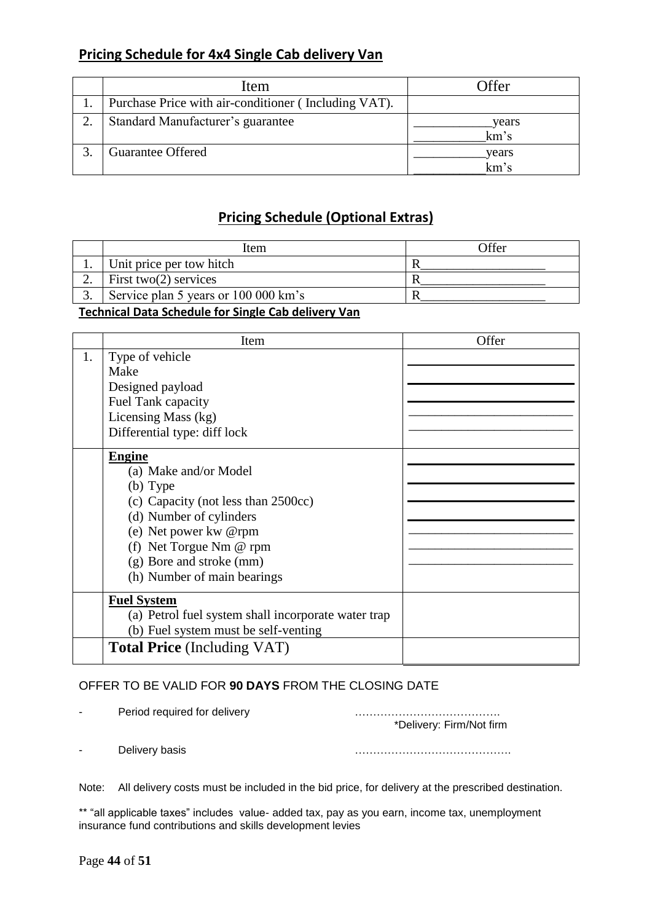## **Pricing Schedule for 4x4 Single Cab delivery Van**

| Item                                                 | Offer         |
|------------------------------------------------------|---------------|
| Purchase Price with air-conditioner (Including VAT). |               |
| Standard Manufacturer's guarantee                    | years<br>km's |
| <b>Guarantee Offered</b>                             | years<br>km's |

## **Pricing Schedule (Optional Extras)**

|  | Item                                 | Offer |
|--|--------------------------------------|-------|
|  | Unit price per tow hitch             |       |
|  | First two $(2)$ services             |       |
|  | Service plan 5 years or 100 000 km's |       |
|  |                                      |       |

### **Technical Data Schedule for Single Cab delivery Van**

|    | Item                                                | Offer |
|----|-----------------------------------------------------|-------|
| 1. | Type of vehicle                                     |       |
|    | Make                                                |       |
|    | Designed payload                                    |       |
|    | Fuel Tank capacity                                  |       |
|    | Licensing Mass (kg)                                 |       |
|    | Differential type: diff lock                        |       |
|    | <b>Engine</b>                                       |       |
|    | (a) Make and/or Model                               |       |
|    | (b) Type                                            |       |
|    | (c) Capacity (not less than 2500cc)                 |       |
|    | (d) Number of cylinders                             |       |
|    | (e) Net power kw @rpm                               |       |
|    | (f) Net Torgue Nm $@$ rpm                           |       |
|    | (g) Bore and stroke (mm)                            |       |
|    | (h) Number of main bearings                         |       |
|    | <b>Fuel System</b>                                  |       |
|    | (a) Petrol fuel system shall incorporate water trap |       |
|    | (b) Fuel system must be self-venting                |       |
|    | <b>Total Price</b> (Including VAT)                  |       |

#### OFFER TO BE VALID FOR **90 DAYS** FROM THE CLOSING DATE

| $\sim$                   | Period required for delivery | *Delivery: Firm/Not firm |
|--------------------------|------------------------------|--------------------------|
| $\overline{\phantom{0}}$ | Delivery basis               |                          |

Note: All delivery costs must be included in the bid price, for delivery at the prescribed destination.

\*\* "all applicable taxes" includes value- added tax, pay as you earn, income tax, unemployment insurance fund contributions and skills development levies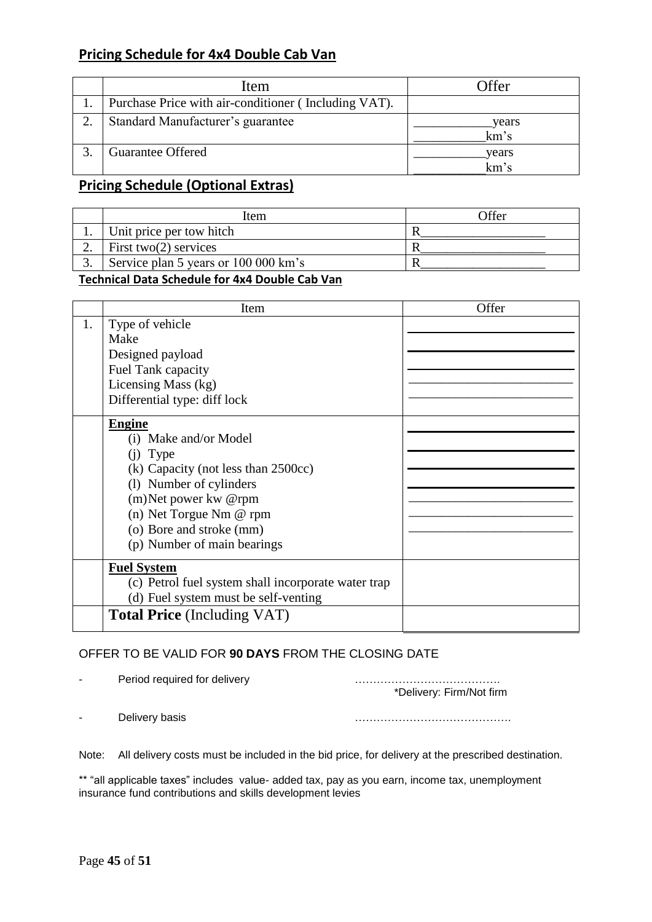## **Pricing Schedule for 4x4 Double Cab Van**

| Item                                                 | Offer         |
|------------------------------------------------------|---------------|
| Purchase Price with air-conditioner (Including VAT). |               |
| Standard Manufacturer's guarantee                    | years<br>km's |
| <b>Guarantee Offered</b>                             | years<br>km's |

## **Pricing Schedule (Optional Extras)**

| <sup>t</sup> tem                     | Offer |
|--------------------------------------|-------|
| Unit price per tow hitch             |       |
| First two $(2)$ services             |       |
| Service plan 5 years or 100 000 km's |       |
|                                      |       |

#### **Technical Data Schedule for 4x4 Double Cab Van**

|    | Item                                                | Offer |
|----|-----------------------------------------------------|-------|
| 1. | Type of vehicle                                     |       |
|    | Make                                                |       |
|    | Designed payload                                    |       |
|    | Fuel Tank capacity                                  |       |
|    | Licensing Mass (kg)                                 |       |
|    | Differential type: diff lock                        |       |
|    | <b>Engine</b>                                       |       |
|    | (i) Make and/or Model                               |       |
|    | (i) Type                                            |       |
|    | (k) Capacity (not less than 2500cc)                 |       |
|    | (1) Number of cylinders                             |       |
|    | (m) Net power kw @rpm                               |       |
|    | (n) Net Torgue Nm @ rpm                             |       |
|    | (o) Bore and stroke (mm)                            |       |
|    | (p) Number of main bearings                         |       |
|    | <b>Fuel System</b>                                  |       |
|    | (c) Petrol fuel system shall incorporate water trap |       |
|    | (d) Fuel system must be self-venting                |       |
|    | <b>Total Price</b> (Including VAT)                  |       |

#### OFFER TO BE VALID FOR **90 DAYS** FROM THE CLOSING DATE

- Period required for delivery manufacturer contains a substitution of the Period required for delivery

\*Delivery: Firm/Not firm

- Delivery basis …………………………………….

Note: All delivery costs must be included in the bid price, for delivery at the prescribed destination.

\*\* "all applicable taxes" includes value- added tax, pay as you earn, income tax, unemployment insurance fund contributions and skills development levies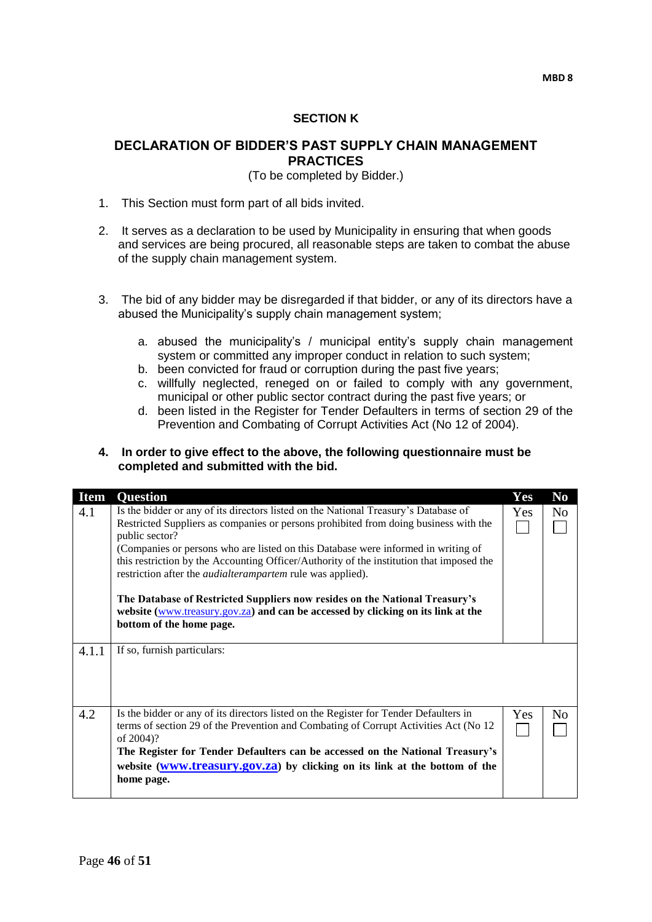#### **SECTION K**

#### **DECLARATION OF BIDDER'S PAST SUPPLY CHAIN MANAGEMENT PRACTICES**

(To be completed by Bidder.)

- 1. This Section must form part of all bids invited.
- 2. It serves as a declaration to be used by Municipality in ensuring that when goods and services are being procured, all reasonable steps are taken to combat the abuse of the supply chain management system.
- 3. The bid of any bidder may be disregarded if that bidder, or any of its directors have a abused the Municipality's supply chain management system;
	- a. abused the municipality's / municipal entity's supply chain management system or committed any improper conduct in relation to such system;
	- b. been convicted for fraud or corruption during the past five years;
	- c. willfully neglected, reneged on or failed to comply with any government, municipal or other public sector contract during the past five years; or
	- d. been listed in the Register for Tender Defaulters in terms of section 29 of the Prevention and Combating of Corrupt Activities Act (No 12 of 2004).

#### **4. In order to give effect to the above, the following questionnaire must be completed and submitted with the bid.**

| <b>Item</b> | <b>Question</b>                                                                                                                                                                                                                                                                                                                                                                                                                                     | Yes | $\bf No$       |
|-------------|-----------------------------------------------------------------------------------------------------------------------------------------------------------------------------------------------------------------------------------------------------------------------------------------------------------------------------------------------------------------------------------------------------------------------------------------------------|-----|----------------|
| 4.1         | Is the bidder or any of its directors listed on the National Treasury's Database of<br>Restricted Suppliers as companies or persons prohibited from doing business with the<br>public sector?<br>(Companies or persons who are listed on this Database were informed in writing of<br>this restriction by the Accounting Officer/Authority of the institution that imposed the<br>restriction after the <i>audialterampartem</i> rule was applied). |     | N <sub>o</sub> |
|             | The Database of Restricted Suppliers now resides on the National Treasury's<br>website (www.treasury.gov.za) and can be accessed by clicking on its link at the<br>bottom of the home page.                                                                                                                                                                                                                                                         |     |                |
| 4.1.1       | If so, furnish particulars:                                                                                                                                                                                                                                                                                                                                                                                                                         |     |                |
| 4.2         | Is the bidder or any of its directors listed on the Register for Tender Defaulters in<br>terms of section 29 of the Prevention and Combating of Corrupt Activities Act (No 12)<br>of 2004)?<br>The Register for Tender Defaulters can be accessed on the National Treasury's<br>website (www.treasury.gov.za) by clicking on its link at the bottom of the<br>home page.                                                                            | Yes | N <sub>0</sub> |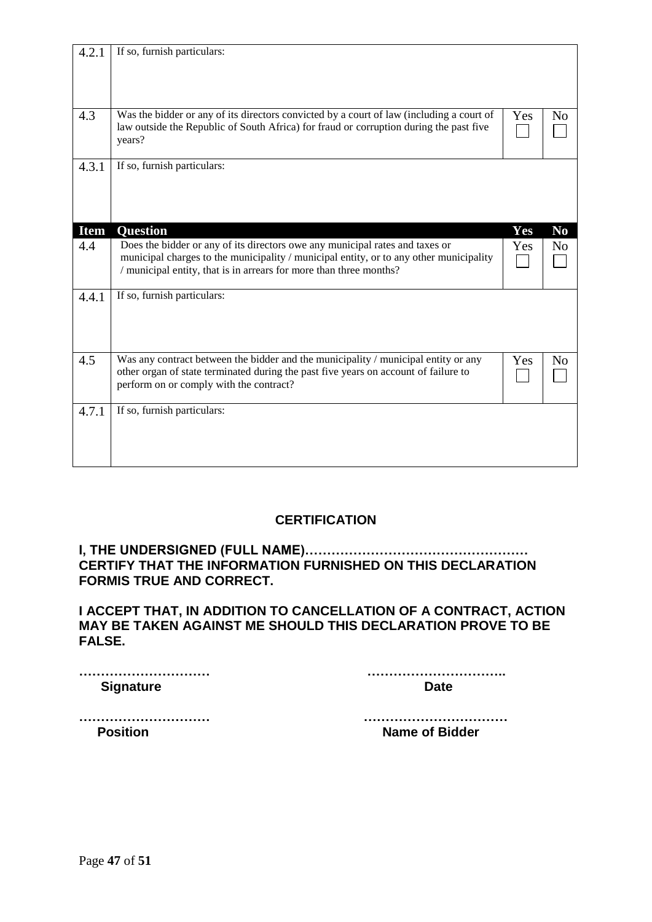| 4.2.1       | If so, furnish particulars:                                                                                                                                                                                                                  |     |                |
|-------------|----------------------------------------------------------------------------------------------------------------------------------------------------------------------------------------------------------------------------------------------|-----|----------------|
|             |                                                                                                                                                                                                                                              |     |                |
| 4.3         | Was the bidder or any of its directors convicted by a court of law (including a court of<br>law outside the Republic of South Africa) for fraud or corruption during the past five<br>years?                                                 | Yes | N <sub>o</sub> |
| 4.3.1       | If so, furnish particulars:                                                                                                                                                                                                                  |     |                |
| <b>Item</b> | <b>Question</b>                                                                                                                                                                                                                              | Yes | N <sub>0</sub> |
| 4.4         | Does the bidder or any of its directors owe any municipal rates and taxes or<br>municipal charges to the municipality / municipal entity, or to any other municipality<br>/ municipal entity, that is in arrears for more than three months? | Yes | N <sub>o</sub> |
| 4.4.1       | If so, furnish particulars:                                                                                                                                                                                                                  |     |                |
| 4.5         | Was any contract between the bidder and the municipality / municipal entity or any<br>other organ of state terminated during the past five years on account of failure to<br>perform on or comply with the contract?                         | Yes | N <sub>0</sub> |
| 4.7.1       | If so, furnish particulars:                                                                                                                                                                                                                  |     |                |

## **CERTIFICATION**

**I, THE UNDERSIGNED (FULL NAME)…………………………………………… CERTIFY THAT THE INFORMATION FURNISHED ON THIS DECLARATION FORMIS TRUE AND CORRECT.**

**I ACCEPT THAT, IN ADDITION TO CANCELLATION OF A CONTRACT, ACTION MAY BE TAKEN AGAINST ME SHOULD THIS DECLARATION PROVE TO BE FALSE.**

**Signature Date** Date

**………………………… …………………………..**

**………………………… …………………………… Position Name of Bidder**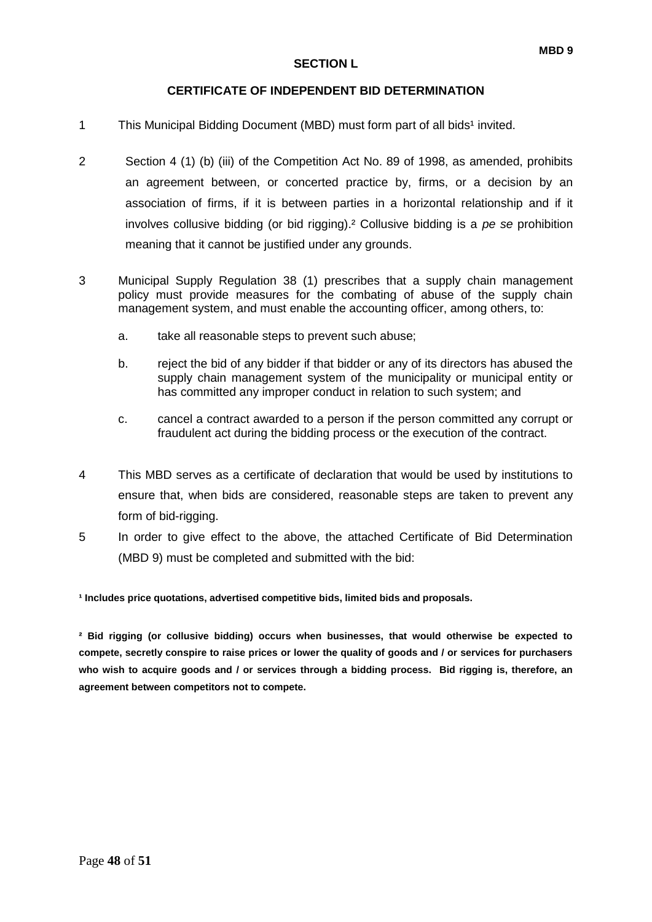#### **CERTIFICATE OF INDEPENDENT BID DETERMINATION**

- 1 This Municipal Bidding Document (MBD) must form part of all bids<sup>1</sup> invited.
- 2 Section 4 (1) (b) (iii) of the Competition Act No. 89 of 1998, as amended, prohibits an agreement between, or concerted practice by, firms, or a decision by an association of firms, if it is between parties in a horizontal relationship and if it involves collusive bidding (or bid rigging).² Collusive bidding is a *pe se* prohibition meaning that it cannot be justified under any grounds.
- 3 Municipal Supply Regulation 38 (1) prescribes that a supply chain management policy must provide measures for the combating of abuse of the supply chain management system, and must enable the accounting officer, among others, to:
	- a. take all reasonable steps to prevent such abuse;
	- b. reject the bid of any bidder if that bidder or any of its directors has abused the supply chain management system of the municipality or municipal entity or has committed any improper conduct in relation to such system; and
	- c. cancel a contract awarded to a person if the person committed any corrupt or fraudulent act during the bidding process or the execution of the contract.
- 4 This MBD serves as a certificate of declaration that would be used by institutions to ensure that, when bids are considered, reasonable steps are taken to prevent any form of bid-rigging.
- 5 In order to give effect to the above, the attached Certificate of Bid Determination (MBD 9) must be completed and submitted with the bid:

**¹ Includes price quotations, advertised competitive bids, limited bids and proposals.**

**² Bid rigging (or collusive bidding) occurs when businesses, that would otherwise be expected to compete, secretly conspire to raise prices or lower the quality of goods and / or services for purchasers who wish to acquire goods and / or services through a bidding process. Bid rigging is, therefore, an agreement between competitors not to compete.**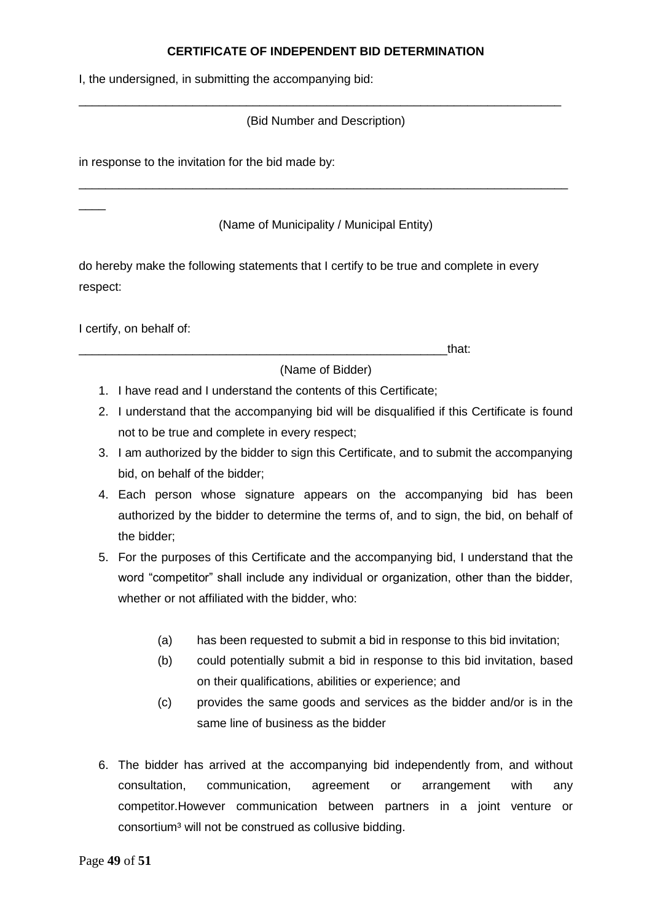#### **CERTIFICATE OF INDEPENDENT BID DETERMINATION**

I, the undersigned, in submitting the accompanying bid:

(Bid Number and Description)

\_\_\_\_\_\_\_\_\_\_\_\_\_\_\_\_\_\_\_\_\_\_\_\_\_\_\_\_\_\_\_\_\_\_\_\_\_\_\_\_\_\_\_\_\_\_\_\_\_\_\_\_\_\_\_\_\_\_\_\_\_\_\_\_\_\_\_\_\_\_\_\_

in response to the invitation for the bid made by:

#### (Name of Municipality / Municipal Entity)

\_\_\_\_\_\_\_\_\_\_\_\_\_\_\_\_\_\_\_\_\_\_\_\_\_\_\_\_\_\_\_\_\_\_\_\_\_\_\_\_\_\_\_\_\_\_\_\_\_\_\_\_\_\_\_\_\_\_\_\_\_\_\_\_\_\_\_\_\_\_\_\_\_

do hereby make the following statements that I certify to be true and complete in every respect:

I certify, on behalf of:

 $\overline{\phantom{a}}$ 

\_\_\_\_\_\_\_\_\_\_\_\_\_\_\_\_\_\_\_\_\_\_\_\_\_\_\_\_\_\_\_\_\_\_\_\_\_\_\_\_\_\_\_\_\_\_\_\_\_\_\_\_\_\_\_that:

(Name of Bidder)

- 1. I have read and I understand the contents of this Certificate;
- 2. I understand that the accompanying bid will be disqualified if this Certificate is found not to be true and complete in every respect;
- 3. I am authorized by the bidder to sign this Certificate, and to submit the accompanying bid, on behalf of the bidder;
- 4. Each person whose signature appears on the accompanying bid has been authorized by the bidder to determine the terms of, and to sign, the bid, on behalf of the bidder;
- 5. For the purposes of this Certificate and the accompanying bid, I understand that the word "competitor" shall include any individual or organization, other than the bidder, whether or not affiliated with the bidder, who:
	- (a) has been requested to submit a bid in response to this bid invitation;
	- (b) could potentially submit a bid in response to this bid invitation, based on their qualifications, abilities or experience; and
	- (c) provides the same goods and services as the bidder and/or is in the same line of business as the bidder
- 6. The bidder has arrived at the accompanying bid independently from, and without consultation, communication, agreement or arrangement with any competitor.However communication between partners in a joint venture or consortium<sup>3</sup> will not be construed as collusive bidding.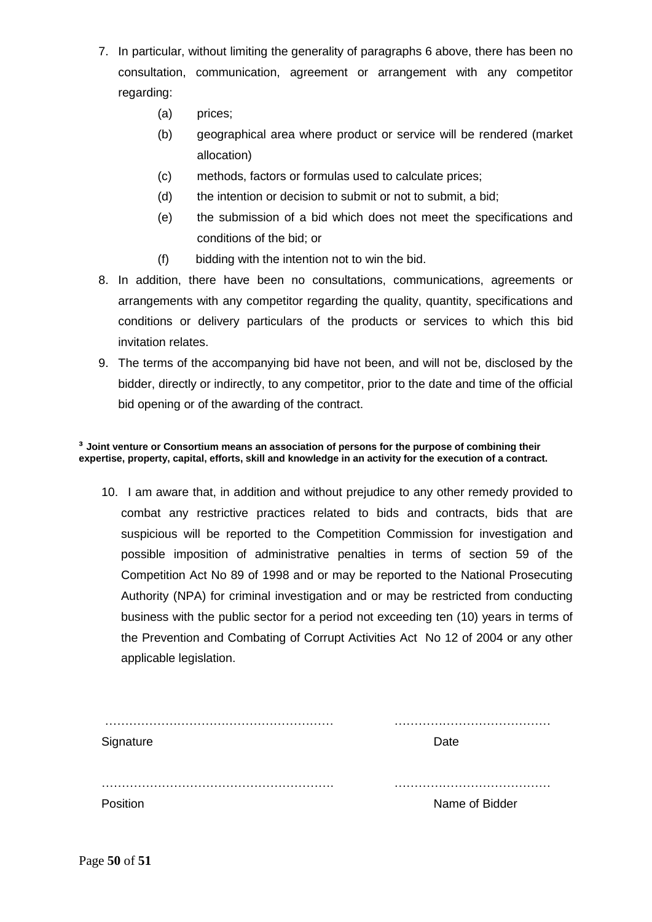- 7. In particular, without limiting the generality of paragraphs 6 above, there has been no consultation, communication, agreement or arrangement with any competitor regarding:
	- (a) prices;
	- (b) geographical area where product or service will be rendered (market allocation)
	- (c) methods, factors or formulas used to calculate prices;
	- (d) the intention or decision to submit or not to submit, a bid;
	- (e) the submission of a bid which does not meet the specifications and conditions of the bid; or
	- (f) bidding with the intention not to win the bid.
- 8. In addition, there have been no consultations, communications, agreements or arrangements with any competitor regarding the quality, quantity, specifications and conditions or delivery particulars of the products or services to which this bid invitation relates.
- 9. The terms of the accompanying bid have not been, and will not be, disclosed by the bidder, directly or indirectly, to any competitor, prior to the date and time of the official bid opening or of the awarding of the contract.

#### **³ Joint venture or Consortium means an association of persons for the purpose of combining their expertise, property, capital, efforts, skill and knowledge in an activity for the execution of a contract.**

10. I am aware that, in addition and without prejudice to any other remedy provided to combat any restrictive practices related to bids and contracts, bids that are suspicious will be reported to the Competition Commission for investigation and possible imposition of administrative penalties in terms of section 59 of the Competition Act No 89 of 1998 and or may be reported to the National Prosecuting Authority (NPA) for criminal investigation and or may be restricted from conducting business with the public sector for a period not exceeding ten (10) years in terms of the Prevention and Combating of Corrupt Activities Act No 12 of 2004 or any other applicable legislation.

| Signature | Date           |
|-----------|----------------|
|           |                |
| Position  | Name of Bidder |